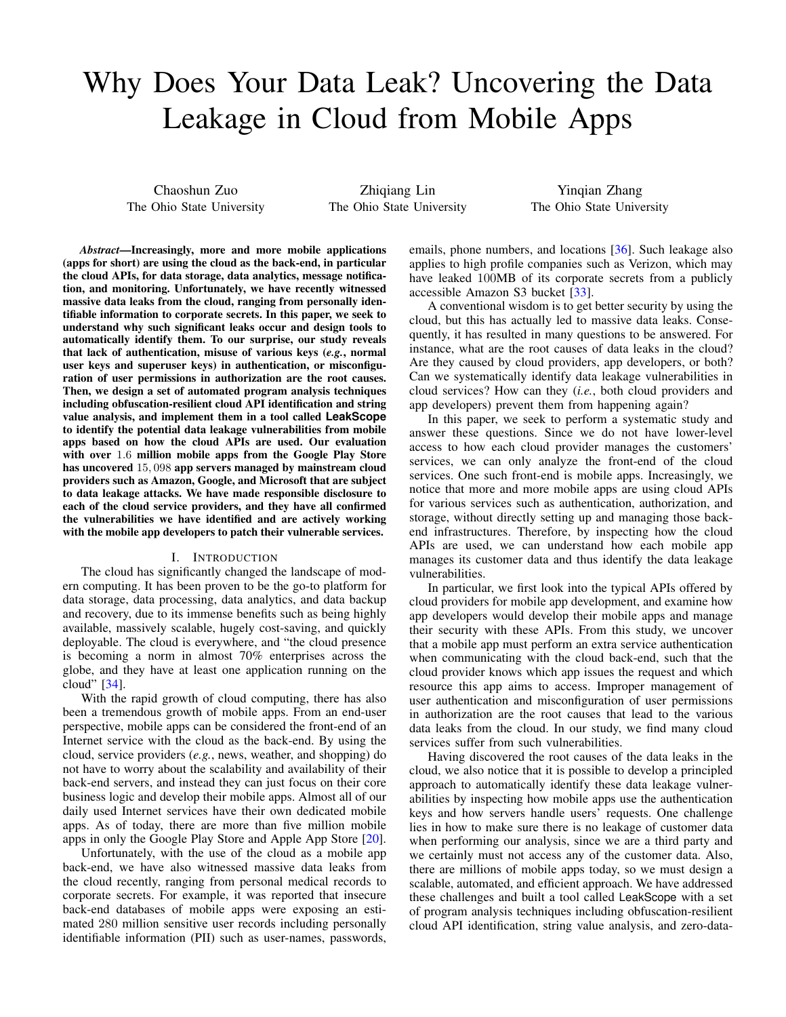# Why Does Your Data Leak? Uncovering the Data Leakage in Cloud from Mobile Apps

Chaoshun Zuo The Ohio State University

Zhiqiang Lin The Ohio State University

Yinqian Zhang The Ohio State University

*Abstract*—Increasingly, more and more mobile applications (apps for short) are using the cloud as the back-end, in particular the cloud APIs, for data storage, data analytics, message notification, and monitoring. Unfortunately, we have recently witnessed massive data leaks from the cloud, ranging from personally identifiable information to corporate secrets. In this paper, we seek to understand why such significant leaks occur and design tools to automatically identify them. To our surprise, our study reveals that lack of authentication, misuse of various keys (*e.g.*, normal user keys and superuser keys) in authentication, or misconfiguration of user permissions in authorization are the root causes. Then, we design a set of automated program analysis techniques including obfuscation-resilient cloud API identification and string value analysis, and implement them in a tool called **LeakScope** to identify the potential data leakage vulnerabilities from mobile apps based on how the cloud APIs are used. Our evaluation with over 1.6 million mobile apps from the Google Play Store has uncovered 15, 098 app servers managed by mainstream cloud providers such as Amazon, Google, and Microsoft that are subject to data leakage attacks. We have made responsible disclosure to each of the cloud service providers, and they have all confirmed the vulnerabilities we have identified and are actively working with the mobile app developers to patch their vulnerable services.

#### I. INTRODUCTION

The cloud has significantly changed the landscape of modern computing. It has been proven to be the go-to platform for data storage, data processing, data analytics, and data backup and recovery, due to its immense benefits such as being highly available, massively scalable, hugely cost-saving, and quickly deployable. The cloud is everywhere, and "the cloud presence is becoming a norm in almost 70% enterprises across the globe, and they have at least one application running on the cloud" [\[34\]](#page-13-0).

With the rapid growth of cloud computing, there has also been a tremendous growth of mobile apps. From an end-user perspective, mobile apps can be considered the front-end of an Internet service with the cloud as the back-end. By using the cloud, service providers (*e.g.*, news, weather, and shopping) do not have to worry about the scalability and availability of their back-end servers, and instead they can just focus on their core business logic and develop their mobile apps. Almost all of our daily used Internet services have their own dedicated mobile apps. As of today, there are more than five million mobile apps in only the Google Play Store and Apple App Store [\[20\]](#page-13-1).

Unfortunately, with the use of the cloud as a mobile app back-end, we have also witnessed massive data leaks from the cloud recently, ranging from personal medical records to corporate secrets. For example, it was reported that insecure back-end databases of mobile apps were exposing an estimated 280 million sensitive user records including personally identifiable information (PII) such as user-names, passwords, emails, phone numbers, and locations [\[36\]](#page-13-2). Such leakage also applies to high profile companies such as Verizon, which may have leaked 100MB of its corporate secrets from a publicly accessible Amazon S3 bucket [\[33\]](#page-13-3).

A conventional wisdom is to get better security by using the cloud, but this has actually led to massive data leaks. Consequently, it has resulted in many questions to be answered. For instance, what are the root causes of data leaks in the cloud? Are they caused by cloud providers, app developers, or both? Can we systematically identify data leakage vulnerabilities in cloud services? How can they (*i.e.*, both cloud providers and app developers) prevent them from happening again?

In this paper, we seek to perform a systematic study and answer these questions. Since we do not have lower-level access to how each cloud provider manages the customers' services, we can only analyze the front-end of the cloud services. One such front-end is mobile apps. Increasingly, we notice that more and more mobile apps are using cloud APIs for various services such as authentication, authorization, and storage, without directly setting up and managing those backend infrastructures. Therefore, by inspecting how the cloud APIs are used, we can understand how each mobile app manages its customer data and thus identify the data leakage vulnerabilities.

In particular, we first look into the typical APIs offered by cloud providers for mobile app development, and examine how app developers would develop their mobile apps and manage their security with these APIs. From this study, we uncover that a mobile app must perform an extra service authentication when communicating with the cloud back-end, such that the cloud provider knows which app issues the request and which resource this app aims to access. Improper management of user authentication and misconfiguration of user permissions in authorization are the root causes that lead to the various data leaks from the cloud. In our study, we find many cloud services suffer from such vulnerabilities.

Having discovered the root causes of the data leaks in the cloud, we also notice that it is possible to develop a principled approach to automatically identify these data leakage vulnerabilities by inspecting how mobile apps use the authentication keys and how servers handle users' requests. One challenge lies in how to make sure there is no leakage of customer data when performing our analysis, since we are a third party and we certainly must not access any of the customer data. Also, there are millions of mobile apps today, so we must design a scalable, automated, and efficient approach. We have addressed these challenges and built a tool called LeakScope with a set of program analysis techniques including obfuscation-resilient cloud API identification, string value analysis, and zero-data-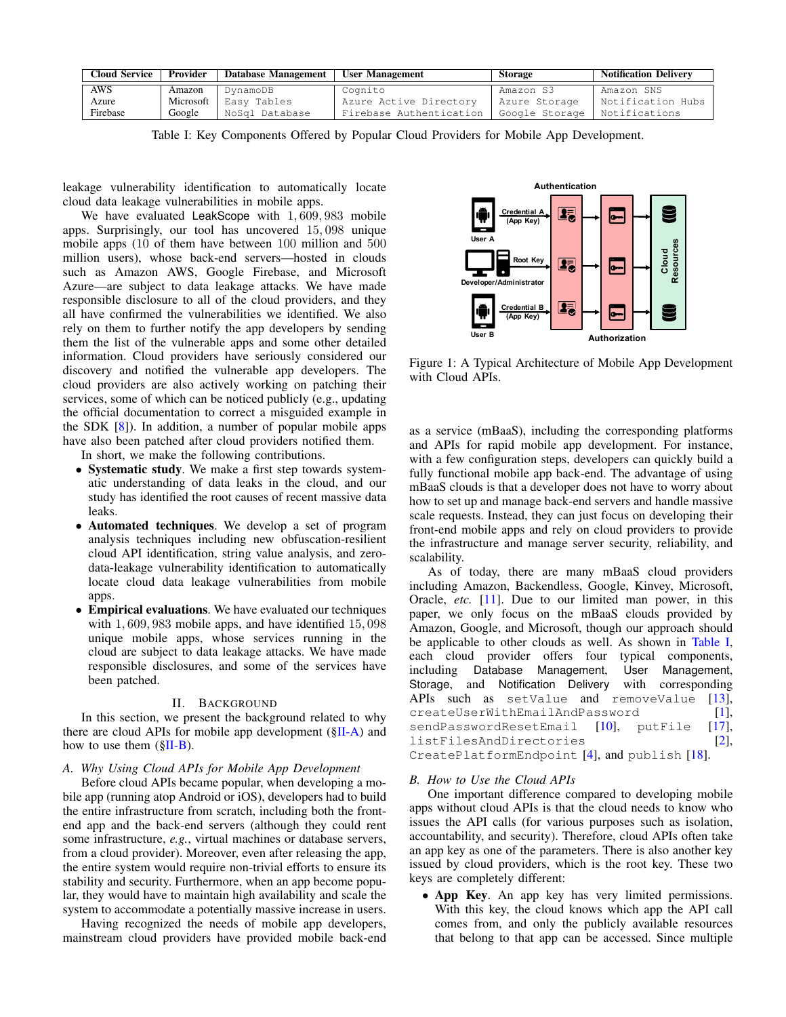<span id="page-1-2"></span>

| <b>Cloud Service</b> | Provider  | Database Management | User Management         | <b>Storage</b> | <b>Notification Delivery</b> |
|----------------------|-----------|---------------------|-------------------------|----------------|------------------------------|
| AWS                  | Amazon    | DynamoDB            | Cognito                 | Amazon S3      | Amazon SNS                   |
| Azure                | Microsoft | Easy Tables         | Azure Active Directory  | Azure Storage  | Notification Hubs            |
| Firebase             | Google    | NoSgl Database      | Firebase Authentication | Google Storage | ' Notifications              |

Table I: Key Components Offered by Popular Cloud Providers for Mobile App Development.

leakage vulnerability identification to automatically locate cloud data leakage vulnerabilities in mobile apps.

We have evaluated LeakScope with 1,609,983 mobile apps. Surprisingly, our tool has uncovered 15, 098 unique mobile apps (10 of them have between 100 million and 500 million users), whose back-end servers—hosted in clouds such as Amazon AWS, Google Firebase, and Microsoft Azure—are subject to data leakage attacks. We have made responsible disclosure to all of the cloud providers, and they all have confirmed the vulnerabilities we identified. We also rely on them to further notify the app developers by sending them the list of the vulnerable apps and some other detailed information. Cloud providers have seriously considered our discovery and notified the vulnerable app developers. The cloud providers are also actively working on patching their services, some of which can be noticed publicly (e.g., updating the official documentation to correct a misguided example in the SDK [\[8\]](#page-13-4)). In addition, a number of popular mobile apps have also been patched after cloud providers notified them.

In short, we make the following contributions.

- Systematic study. We make a first step towards systematic understanding of data leaks in the cloud, and our study has identified the root causes of recent massive data leaks.
- Automated techniques. We develop a set of program analysis techniques including new obfuscation-resilient cloud API identification, string value analysis, and zerodata-leakage vulnerability identification to automatically locate cloud data leakage vulnerabilities from mobile apps.
- Empirical evaluations. We have evaluated our techniques with 1, 609, 983 mobile apps, and have identified 15, 098 unique mobile apps, whose services running in the cloud are subject to data leakage attacks. We have made responsible disclosures, and some of the services have been patched.

## II. BACKGROUND

In this section, we present the background related to why there are cloud APIs for mobile app development  $(\S II-A)$  and how to use them  $(SII-B)$ .

# <span id="page-1-0"></span>*A. Why Using Cloud APIs for Mobile App Development*

Before cloud APIs became popular, when developing a mobile app (running atop Android or iOS), developers had to build the entire infrastructure from scratch, including both the frontend app and the back-end servers (although they could rent some infrastructure, *e.g.*, virtual machines or database servers, from a cloud provider). Moreover, even after releasing the app, the entire system would require non-trivial efforts to ensure its stability and security. Furthermore, when an app become popular, they would have to maintain high availability and scale the system to accommodate a potentially massive increase in users.

Having recognized the needs of mobile app developers, mainstream cloud providers have provided mobile back-end

<span id="page-1-3"></span>

Figure 1: A Typical Architecture of Mobile App Development with Cloud APIs.

as a service (mBaaS), including the corresponding platforms and APIs for rapid mobile app development. For instance, with a few configuration steps, developers can quickly build a fully functional mobile app back-end. The advantage of using mBaaS clouds is that a developer does not have to worry about how to set up and manage back-end servers and handle massive scale requests. Instead, they can just focus on developing their front-end mobile apps and rely on cloud providers to provide the infrastructure and manage server security, reliability, and scalability.

As of today, there are many mBaaS cloud providers including Amazon, Backendless, Google, Kinvey, Microsoft, Oracle, *etc.* [\[11\]](#page-13-5). Due to our limited man power, in this paper, we only focus on the mBaaS clouds provided by Amazon, Google, and Microsoft, though our approach should be applicable to other clouds as well. As shown in [Table I,](#page-1-2) each cloud provider offers four typical components, including Database Management, User Management, Storage, and Notification Delivery with corresponding APIs such as setValue and removeValue [\[13\]](#page-13-6), createUserWithEmailAndPassword [\[1\]](#page-13-7), sendPasswordResetEmail [\[10\]](#page-13-8), putFile [\[17\]](#page-13-9), listFilesAndDirectories [\[2\]](#page-13-10), CreatePlatformEndpoint [\[4\]](#page-13-11), and publish [\[18\]](#page-13-12).

## <span id="page-1-1"></span>*B. How to Use the Cloud APIs*

One important difference compared to developing mobile apps without cloud APIs is that the cloud needs to know who issues the API calls (for various purposes such as isolation, accountability, and security). Therefore, cloud APIs often take an app key as one of the parameters. There is also another key issued by cloud providers, which is the root key. These two keys are completely different:

• App Key. An app key has very limited permissions. With this key, the cloud knows which app the API call comes from, and only the publicly available resources that belong to that app can be accessed. Since multiple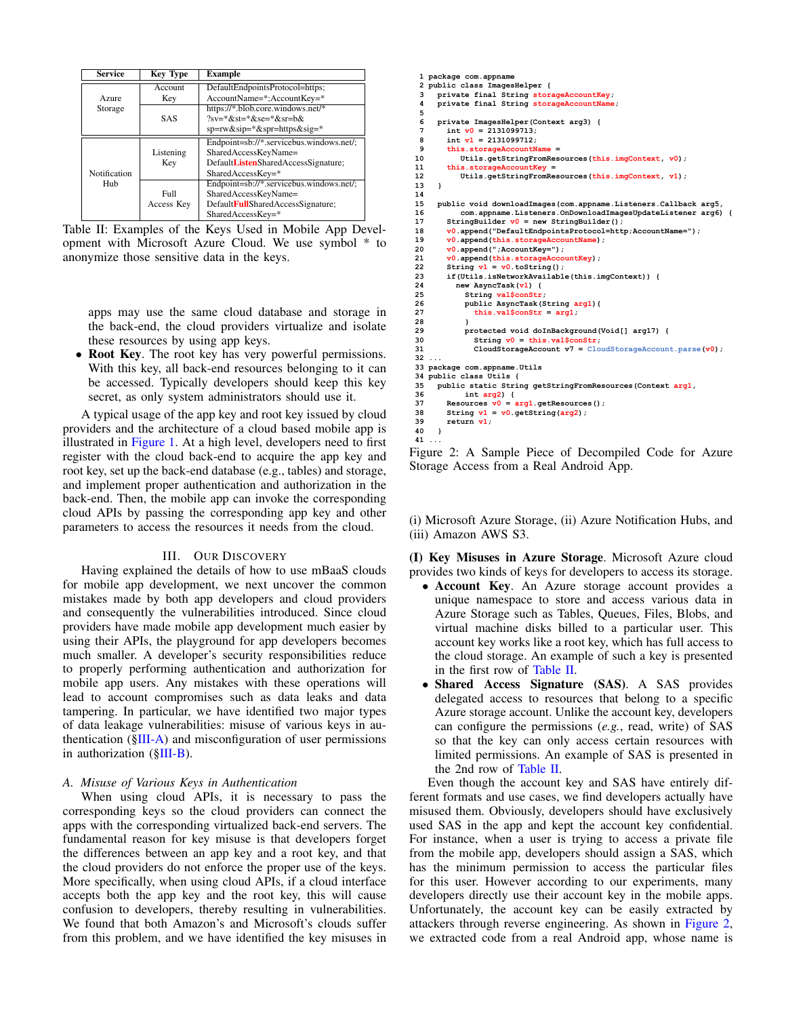<span id="page-2-1"></span>

| <b>Service</b> | <b>Key Type</b>   | <b>Example</b>                           |
|----------------|-------------------|------------------------------------------|
|                | Account           | DefaultEndpointsProtocol=https;          |
| Azure          | Key               | AccountName=*;AccountKey=*               |
| Storage        |                   | https://*.blob.core.windows.net/*        |
|                | <b>SAS</b>        | $?sv = *kst = *kse = *ksr = b$           |
|                |                   | $sp=rw\&\sin=\n *\&\text{spr}=\n 0$      |
|                |                   | Endpoint=sb://*.servicebus.windows.net/; |
|                | Listening         | SharedAccessKeyName=                     |
|                | Key               | DefaultListenSharedAccessSignature;      |
| Notification   |                   | SharedAccessKey=*                        |
| Hub            |                   | Endpoint=sb://*.servicebus.windows.net/; |
|                | F <sub>0</sub> 11 | SharedAccessKeyName=                     |
|                | Access Key        | DefaultFullSharedAccessSignature;        |
|                |                   | SharedAccessKey=*                        |

Table II: Examples of the Keys Used in Mobile App Development with Microsoft Azure Cloud. We use symbol \* to anonymize those sensitive data in the keys.

apps may use the same cloud database and storage in the back-end, the cloud providers virtualize and isolate these resources by using app keys.

• Root Key. The root key has very powerful permissions. With this key, all back-end resources belonging to it can be accessed. Typically developers should keep this key secret, as only system administrators should use it.

A typical usage of the app key and root key issued by cloud providers and the architecture of a cloud based mobile app is illustrated in [Figure 1.](#page-1-3) At a high level, developers need to first register with the cloud back-end to acquire the app key and root key, set up the back-end database (e.g., tables) and storage, and implement proper authentication and authorization in the back-end. Then, the mobile app can invoke the corresponding cloud APIs by passing the corresponding app key and other parameters to access the resources it needs from the cloud.

# III. OUR DISCOVERY

Having explained the details of how to use mBaaS clouds for mobile app development, we next uncover the common mistakes made by both app developers and cloud providers and consequently the vulnerabilities introduced. Since cloud providers have made mobile app development much easier by using their APIs, the playground for app developers becomes much smaller. A developer's security responsibilities reduce to properly performing authentication and authorization for mobile app users. Any mistakes with these operations will lead to account compromises such as data leaks and data tampering. In particular, we have identified two major types of data leakage vulnerabilities: misuse of various keys in authentication ( $\S$ III-A) and misconfiguration of user permissions in authorization ([§III-B\)](#page-3-0).

# <span id="page-2-0"></span>*A. Misuse of Various Keys in Authentication*

When using cloud APIs, it is necessary to pass the corresponding keys so the cloud providers can connect the apps with the corresponding virtualized back-end servers. The fundamental reason for key misuse is that developers forget the differences between an app key and a root key, and that the cloud providers do not enforce the proper use of the keys. More specifically, when using cloud APIs, if a cloud interface accepts both the app key and the root key, this will cause confusion to developers, thereby resulting in vulnerabilities. We found that both Amazon's and Microsoft's clouds suffer from this problem, and we have identified the key misuses in

```
1 package com.appname
 2 public class ImagesHelper {
     3 private final String storageAccountKey;
 4 private final String storageAccountName;
 5
     6 private ImagesHelper(Context arg3) {
 7 int v0 = 2131099713;
8 int v1 = 2131099712;
 9 this.storageAccountName = 
10 Utils.getStringFromResources(this.imgContext, v0);<br>11 this.storageAccountKev =
11 this.storageAccountKey = 
            12 Utils.getStringFromResources(this.imgContext, v1);
13 }
14
15 public void downloadImages(com.appname.Listeners.Callback arg5, 
            16 com.appname.Listeners.OnDownloadImagesUpdateListener arg6) {
17 StringBuilder v0 = new StringBuilder();
18 v0.append("DefaultEndpointsProtocol=http;AccountName=");

20 v0.append(";AccountKey=");<br>21 v0.append(this.storageAcco)
21 v0.\text{append}(\text{this}.\text{storageAccountKey});<br>22 String v1 = v0.\text{toString}():
22 String v1 = v0.toString();<br>23 if(Utils.isNetworkAvailable
23 if(Utils.isNetworkAvailable(this.imgContext)) {
24 new AsyncTask(v1) {
25 String val$conStr;<br>26 bublic AsyncTask(S)
26 public AsyncTask(String arg1){
               27 this.val$conStr = arg1;
28 }
             29 protected void doInBackground(Void[] arg17) {
30 String v0 = \text{this} \cdot \text{val}\$conStr;<br>31 CloudStorageAccount v7 = C1031 CloudStorageAccount v7 = CloudStorageAccount.parse(v0);
32 ...
33 package com.appname.Utils
34 public class Utils {
     35 public static String getStringFromResources(Context arg1,
36 int arg2) {
        37 Resources v0 = arg1.getResources();
38 String v1 = v0.getString(\arg(2);<br>39 return v1:
39 return v1;
    40 }
41 ...
```
Figure 2: A Sample Piece of Decompiled Code for Azure Storage Access from a Real Android App.

(i) Microsoft Azure Storage, (ii) Azure Notification Hubs, and (iii) Amazon AWS S3.

(I) Key Misuses in Azure Storage. Microsoft Azure cloud provides two kinds of keys for developers to access its storage.

- Account Key. An Azure storage account provides a unique namespace to store and access various data in Azure Storage such as Tables, Queues, Files, Blobs, and virtual machine disks billed to a particular user. This account key works like a root key, which has full access to the cloud storage. An example of such a key is presented in the first row of [Table II.](#page-2-1)
- Shared Access Signature (SAS). A SAS provides delegated access to resources that belong to a specific Azure storage account. Unlike the account key, developers can configure the permissions (*e.g.*, read, write) of SAS so that the key can only access certain resources with limited permissions. An example of SAS is presented in the 2nd row of [Table II.](#page-2-1)

Even though the account key and SAS have entirely different formats and use cases, we find developers actually have misused them. Obviously, developers should have exclusively used SAS in the app and kept the account key confidential. For instance, when a user is trying to access a private file from the mobile app, developers should assign a SAS, which has the minimum permission to access the particular files for this user. However according to our experiments, many developers directly use their account key in the mobile apps. Unfortunately, the account key can be easily extracted by attackers through reverse engineering. As shown in [Figure 2,](#page-2-2) we extracted code from a real Android app, whose name is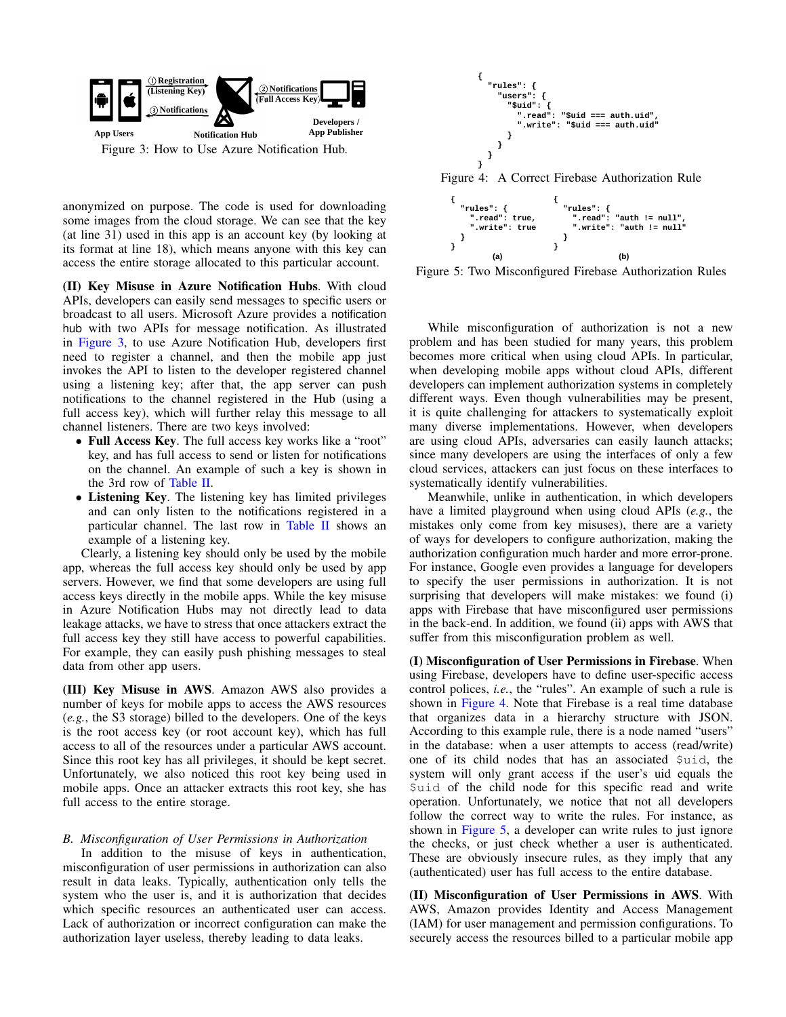<span id="page-3-1"></span>

anonymized on purpose. The code is used for downloading some images from the cloud storage. We can see that the key (at line 31) used in this app is an account key (by looking at its format at line 18), which means anyone with this key can access the entire storage allocated to this particular account.

(II) Key Misuse in Azure Notification Hubs. With cloud APIs, developers can easily send messages to specific users or broadcast to all users. Microsoft Azure provides a notification hub with two APIs for message notification. As illustrated in [Figure 3,](#page-3-1) to use Azure Notification Hub, developers first need to register a channel, and then the mobile app just invokes the API to listen to the developer registered channel using a listening key; after that, the app server can push notifications to the channel registered in the Hub (using a full access key), which will further relay this message to all channel listeners. There are two keys involved:

- Full Access Key. The full access key works like a "root" key, and has full access to send or listen for notifications on the channel. An example of such a key is shown in the 3rd row of [Table II.](#page-2-1)
- Listening Key. The listening key has limited privileges and can only listen to the notifications registered in a particular channel. The last row in [Table II](#page-2-1) shows an example of a listening key.

Clearly, a listening key should only be used by the mobile app, whereas the full access key should only be used by app servers. However, we find that some developers are using full access keys directly in the mobile apps. While the key misuse in Azure Notification Hubs may not directly lead to data leakage attacks, we have to stress that once attackers extract the full access key they still have access to powerful capabilities. For example, they can easily push phishing messages to steal data from other app users.

(III) Key Misuse in AWS. Amazon AWS also provides a number of keys for mobile apps to access the AWS resources (*e.g.*, the S3 storage) billed to the developers. One of the keys is the root access key (or root account key), which has full access to all of the resources under a particular AWS account. Since this root key has all privileges, it should be kept secret. Unfortunately, we also noticed this root key being used in mobile apps. Once an attacker extracts this root key, she has full access to the entire storage.

## <span id="page-3-0"></span>*B. Misconfiguration of User Permissions in Authorization*

In addition to the misuse of keys in authentication, misconfiguration of user permissions in authorization can also result in data leaks. Typically, authentication only tells the system who the user is, and it is authorization that decides which specific resources an authenticated user can access. Lack of authorization or incorrect configuration can make the authorization layer useless, thereby leading to data leaks.

<span id="page-3-2"></span>

<span id="page-3-3"></span>Figure 5: Two Misconfigured Firebase Authorization Rules

While misconfiguration of authorization is not a new problem and has been studied for many years, this problem becomes more critical when using cloud APIs. In particular, when developing mobile apps without cloud APIs, different developers can implement authorization systems in completely different ways. Even though vulnerabilities may be present, it is quite challenging for attackers to systematically exploit many diverse implementations. However, when developers are using cloud APIs, adversaries can easily launch attacks; since many developers are using the interfaces of only a few cloud services, attackers can just focus on these interfaces to systematically identify vulnerabilities.

Meanwhile, unlike in authentication, in which developers have a limited playground when using cloud APIs (*e.g.*, the mistakes only come from key misuses), there are a variety of ways for developers to configure authorization, making the authorization configuration much harder and more error-prone. For instance, Google even provides a language for developers to specify the user permissions in authorization. It is not surprising that developers will make mistakes: we found (i) apps with Firebase that have misconfigured user permissions in the back-end. In addition, we found (ii) apps with AWS that suffer from this misconfiguration problem as well.

(I) Misconfiguration of User Permissions in Firebase. When using Firebase, developers have to define user-specific access control polices, *i.e.*, the "rules". An example of such a rule is shown in [Figure 4.](#page-3-2) Note that Firebase is a real time database that organizes data in a hierarchy structure with JSON. According to this example rule, there is a node named "users" in the database: when a user attempts to access (read/write) one of its child nodes that has an associated \$uid, the system will only grant access if the user's uid equals the \$uid of the child node for this specific read and write operation. Unfortunately, we notice that not all developers follow the correct way to write the rules. For instance, as shown in [Figure 5,](#page-3-3) a developer can write rules to just ignore the checks, or just check whether a user is authenticated. These are obviously insecure rules, as they imply that any (authenticated) user has full access to the entire database.

(II) Misconfiguration of User Permissions in AWS. With AWS, Amazon provides Identity and Access Management (IAM) for user management and permission configurations. To securely access the resources billed to a particular mobile app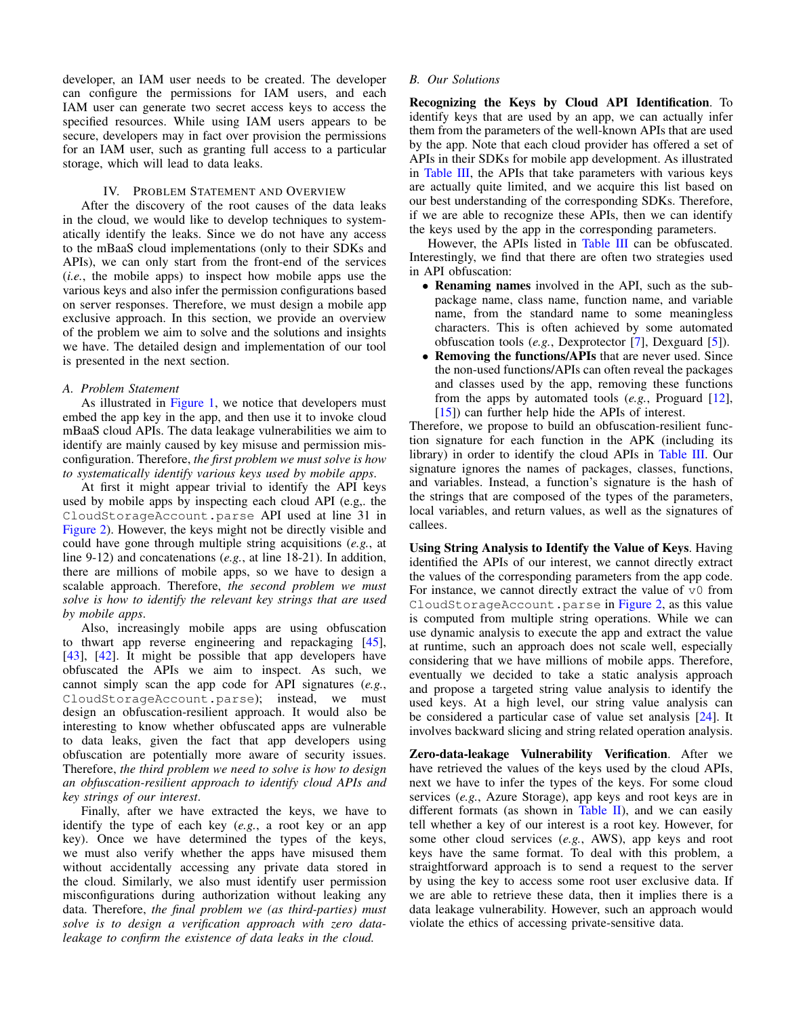developer, an IAM user needs to be created. The developer can configure the permissions for IAM users, and each IAM user can generate two secret access keys to access the specified resources. While using IAM users appears to be secure, developers may in fact over provision the permissions for an IAM user, such as granting full access to a particular storage, which will lead to data leaks.

# IV. PROBLEM STATEMENT AND OVERVIEW

After the discovery of the root causes of the data leaks in the cloud, we would like to develop techniques to systematically identify the leaks. Since we do not have any access to the mBaaS cloud implementations (only to their SDKs and APIs), we can only start from the front-end of the services (*i.e.*, the mobile apps) to inspect how mobile apps use the various keys and also infer the permission configurations based on server responses. Therefore, we must design a mobile app exclusive approach. In this section, we provide an overview of the problem we aim to solve and the solutions and insights we have. The detailed design and implementation of our tool is presented in the next section.

# *A. Problem Statement*

As illustrated in [Figure 1,](#page-1-3) we notice that developers must embed the app key in the app, and then use it to invoke cloud mBaaS cloud APIs. The data leakage vulnerabilities we aim to identify are mainly caused by key misuse and permission misconfiguration. Therefore, *the first problem we must solve is how to systematically identify various keys used by mobile apps*.

At first it might appear trivial to identify the API keys used by mobile apps by inspecting each cloud API (e.g,. the CloudStorageAccount.parse API used at line 31 in [Figure 2\)](#page-2-2). However, the keys might not be directly visible and could have gone through multiple string acquisitions (*e.g.*, at line 9-12) and concatenations (*e.g.*, at line 18-21). In addition, there are millions of mobile apps, so we have to design a scalable approach. Therefore, *the second problem we must solve is how to identify the relevant key strings that are used by mobile apps*.

Also, increasingly mobile apps are using obfuscation to thwart app reverse engineering and repackaging [\[45\]](#page-13-13), [\[43\]](#page-13-14), [\[42\]](#page-13-15). It might be possible that app developers have obfuscated the APIs we aim to inspect. As such, we cannot simply scan the app code for API signatures (*e.g.*, CloudStorageAccount.parse); instead, we must design an obfuscation-resilient approach. It would also be interesting to know whether obfuscated apps are vulnerable to data leaks, given the fact that app developers using obfuscation are potentially more aware of security issues. Therefore, *the third problem we need to solve is how to design an obfuscation-resilient approach to identify cloud APIs and key strings of our interest*.

Finally, after we have extracted the keys, we have to identify the type of each key (*e.g.*, a root key or an app key). Once we have determined the types of the keys, we must also verify whether the apps have misused them without accidentally accessing any private data stored in the cloud. Similarly, we also must identify user permission misconfigurations during authorization without leaking any data. Therefore, *the final problem we (as third-parties) must solve is to design a verification approach with zero dataleakage to confirm the existence of data leaks in the cloud.*

## <span id="page-4-0"></span>*B. Our Solutions*

Recognizing the Keys by Cloud API Identification. To identify keys that are used by an app, we can actually infer them from the parameters of the well-known APIs that are used by the app. Note that each cloud provider has offered a set of APIs in their SDKs for mobile app development. As illustrated in [Table III,](#page-5-0) the APIs that take parameters with various keys are actually quite limited, and we acquire this list based on our best understanding of the corresponding SDKs. Therefore, if we are able to recognize these APIs, then we can identify the keys used by the app in the corresponding parameters.

However, the APIs listed in [Table III](#page-5-0) can be obfuscated. Interestingly, we find that there are often two strategies used in API obfuscation:

- Renaming names involved in the API, such as the subpackage name, class name, function name, and variable name, from the standard name to some meaningless characters. This is often achieved by some automated obfuscation tools (*e.g.*, Dexprotector [\[7\]](#page-13-16), Dexguard [\[5\]](#page-13-17)).
- Removing the functions/APIs that are never used. Since the non-used functions/APIs can often reveal the packages and classes used by the app, removing these functions from the apps by automated tools (*e.g.*, Proguard [\[12\]](#page-13-18), [\[15\]](#page-13-19)) can further help hide the APIs of interest.

Therefore, we propose to build an obfuscation-resilient function signature for each function in the APK (including its library) in order to identify the cloud APIs in [Table III.](#page-5-0) Our signature ignores the names of packages, classes, functions, and variables. Instead, a function's signature is the hash of the strings that are composed of the types of the parameters, local variables, and return values, as well as the signatures of callees.

Using String Analysis to Identify the Value of Keys. Having identified the APIs of our interest, we cannot directly extract the values of the corresponding parameters from the app code. For instance, we cannot directly extract the value of  $\nu$ <sup>0</sup> from CloudStorageAccount.parse in [Figure 2,](#page-2-2) as this value is computed from multiple string operations. While we can use dynamic analysis to execute the app and extract the value at runtime, such an approach does not scale well, especially considering that we have millions of mobile apps. Therefore, eventually we decided to take a static analysis approach and propose a targeted string value analysis to identify the used keys. At a high level, our string value analysis can be considered a particular case of value set analysis [\[24\]](#page-13-20). It involves backward slicing and string related operation analysis.

Zero-data-leakage Vulnerability Verification. After we have retrieved the values of the keys used by the cloud APIs, next we have to infer the types of the keys. For some cloud services (*e.g.*, Azure Storage), app keys and root keys are in different formats (as shown in [Table II\)](#page-2-1), and we can easily tell whether a key of our interest is a root key. However, for some other cloud services (*e.g.*, AWS), app keys and root keys have the same format. To deal with this problem, a straightforward approach is to send a request to the server by using the key to access some root user exclusive data. If we are able to retrieve these data, then it implies there is a data leakage vulnerability. However, such an approach would violate the ethics of accessing private-sensitive data.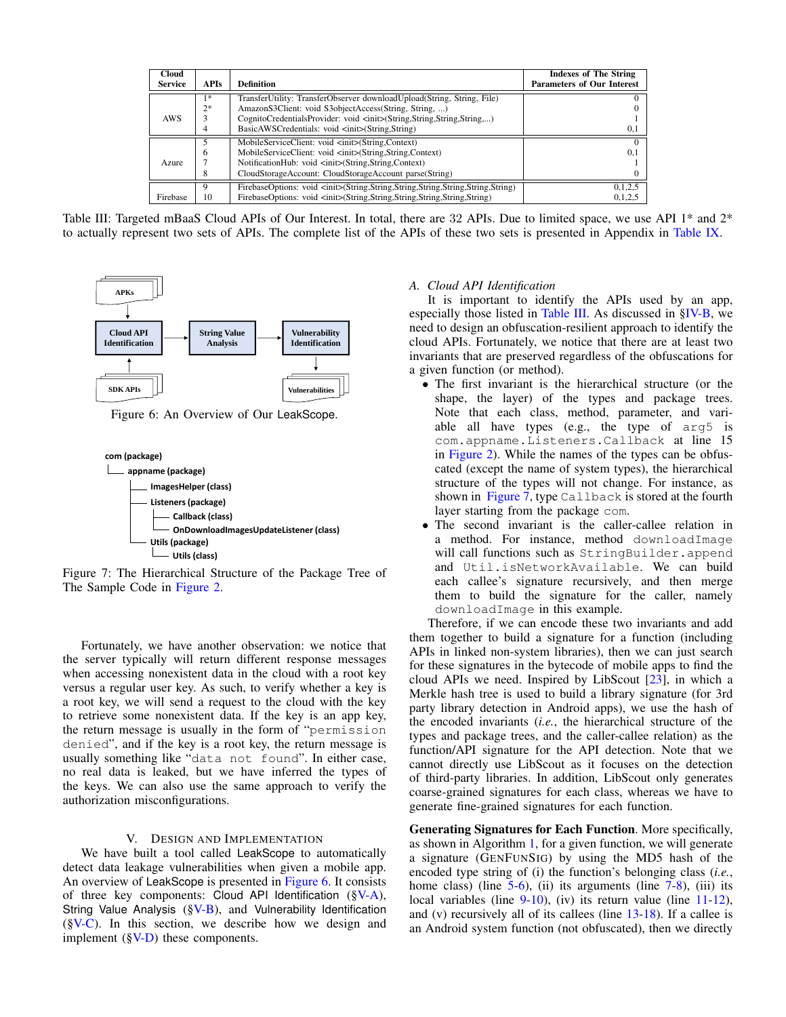<span id="page-5-0"></span>

| Cloud<br><b>Service</b> | <b>APIs</b> | <b>Definition</b>                                                                     | <b>Indexes of The String</b><br><b>Parameters of Our Interest</b> |
|-------------------------|-------------|---------------------------------------------------------------------------------------|-------------------------------------------------------------------|
|                         | $1*$        | TransferUtility: TransferObserver downloadUpload(String, String, File)                |                                                                   |
|                         | $2*$        | AmazonS3Client: void S3objectAccess(String, String, )                                 |                                                                   |
| <b>AWS</b>              |             | CognitoCredentialsProvider: void <init>(String,String,String,String,)</init>          |                                                                   |
|                         | 4           | BasicAWSCredentials: void <init>(String, String)</init>                               | 0,1                                                               |
|                         |             | MobileServiceClient: void <init>(String,Context)</init>                               |                                                                   |
|                         | 6           | MobileServiceClient: void <init>(String,String,Context)</init>                        | 0.1                                                               |
| Azure                   |             | NotificationHub: void <init>(String,String,Context)</init>                            |                                                                   |
|                         | 8           | CloudStorageAccount: CloudStorageAccount parse(String)                                |                                                                   |
|                         | 9           | FirebaseOptions: void <init>(String,String,String,String,String,String,String)</init> | 0,1,2,5                                                           |
| Firebase                | 10          | FirebaseOptions: void <init>(String,String,String,String,String,String)</init>        | 0.1.2.5                                                           |

Table III: Targeted mBaaS Cloud APIs of Our Interest. In total, there are 32 APIs. Due to limited space, we use API 1\* and 2\* to actually represent two sets of APIs. The complete list of the APIs of these two sets is presented in Appendix in [Table IX.](#page-14-0)

<span id="page-5-1"></span>

Figure 6: An Overview of Our LeakScope.

<span id="page-5-3"></span>

Figure 7: The Hierarchical Structure of the Package Tree of The Sample Code in [Figure 2.](#page-2-2)

Fortunately, we have another observation: we notice that the server typically will return different response messages when accessing nonexistent data in the cloud with a root key versus a regular user key. As such, to verify whether a key is a root key, we will send a request to the cloud with the key to retrieve some nonexistent data. If the key is an app key, the return message is usually in the form of "permission denied", and if the key is a root key, the return message is usually something like "data not found". In either case, no real data is leaked, but we have inferred the types of the keys. We can also use the same approach to verify the authorization misconfigurations.

## V. DESIGN AND IMPLEMENTATION

We have built a tool called LeakScope to automatically detect data leakage vulnerabilities when given a mobile app. An overview of LeakScope is presented in [Figure 6.](#page-5-1) It consists of three key components: Cloud API Identification  $(\S{V-A})$ , String Value Analysis ([§V-B\)](#page-6-0), and Vulnerability Identification  $(\S V - C)$ . In this section, we describe how we design and implement ([§V-D\)](#page-7-1) these components.

# <span id="page-5-2"></span>*A. Cloud API Identification*

It is important to identify the APIs used by an app, especially those listed in [Table III.](#page-5-0) As discussed in [§IV-B,](#page-4-0) we need to design an obfuscation-resilient approach to identify the cloud APIs. Fortunately, we notice that there are at least two invariants that are preserved regardless of the obfuscations for a given function (or method).

- The first invariant is the hierarchical structure (or the shape, the layer) of the types and package trees. Note that each class, method, parameter, and variable all have types (e.g., the type of arg5 is com.appname.Listeners.Callback at line 15 in [Figure 2\)](#page-2-2). While the names of the types can be obfuscated (except the name of system types), the hierarchical structure of the types will not change. For instance, as shown in [Figure 7,](#page-5-3) type Callback is stored at the fourth layer starting from the package com.
- The second invariant is the caller-callee relation in a method. For instance, method downloadImage will call functions such as StringBuilder.append and Util.isNetworkAvailable. We can build each callee's signature recursively, and then merge them to build the signature for the caller, namely downloadImage in this example.

Therefore, if we can encode these two invariants and add them together to build a signature for a function (including APIs in linked non-system libraries), then we can just search for these signatures in the bytecode of mobile apps to find the cloud APIs we need. Inspired by LibScout [\[23\]](#page-13-21), in which a Merkle hash tree is used to build a library signature (for 3rd party library detection in Android apps), we use the hash of the encoded invariants (*i.e.*, the hierarchical structure of the types and package trees, and the caller-callee relation) as the function/API signature for the API detection. Note that we cannot directly use LibScout as it focuses on the detection of third-party libraries. In addition, LibScout only generates coarse-grained signatures for each class, whereas we have to generate fine-grained signatures for each function.

Generating Signatures for Each Function. More specifically, as shown in Algorithm [1,](#page-6-1) for a given function, we will generate a signature (GENFUNSIG) by using the MD5 hash of the encoded type string of (i) the function's belonging class (*i.e.*, home class) (line  $5-6$ ), (ii) its arguments (line  $7-8$ ), (iii) its local variables (line  $9-10$ ), (iv) its return value (line  $11-12$ ), and (v) recursively all of its callees (line [13-18\)](#page-6-1). If a callee is an Android system function (not obfuscated), then we directly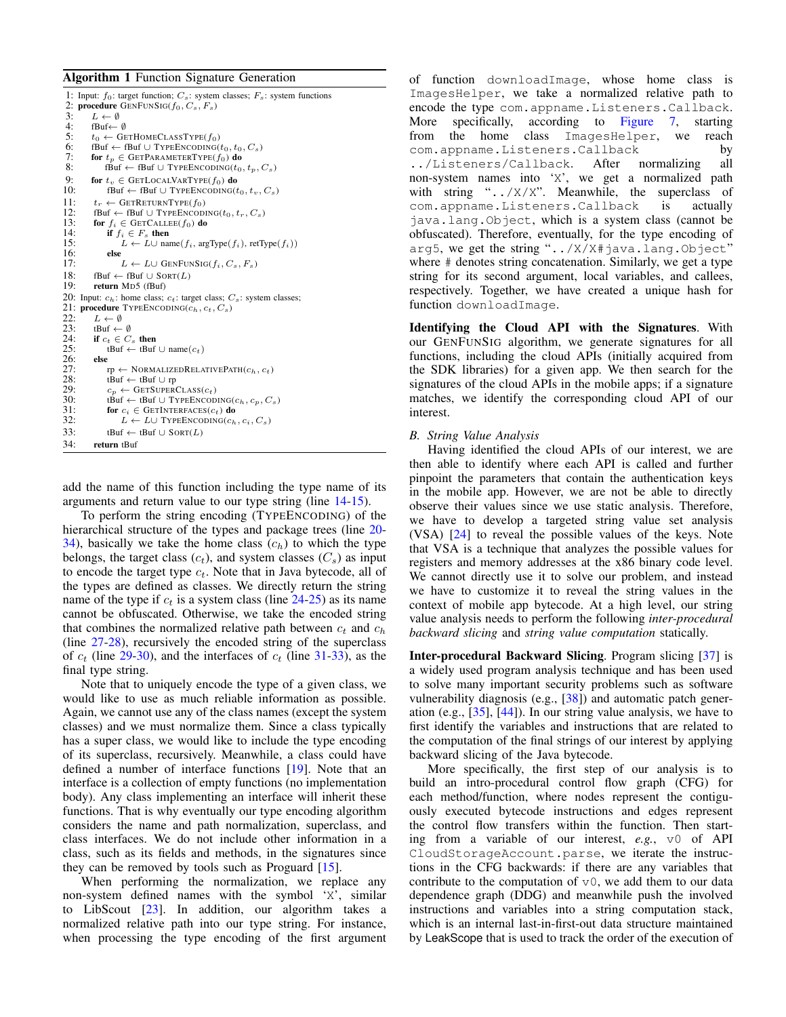#### <span id="page-6-1"></span>Algorithm 1 Function Signature Generation

```
1: Input: f_0: target function; C_s: system classes; F_s: system functions 2: procedure GENFUNSIG(f_0, C_s, F_s)
 3: L \leftarrow \emptyset<br>4: fBuf\leftarrow4: fBuf← \emptyset<br>5: t_0 \leftarrow GE
 5: t_0 \leftarrow \text{GETHomeCLASSType}(f_0)<br>
6: fBuf \leftarrow fBuf \cup TYPEENCODING(t<br>
7: for t_n \in \text{GETPARAMETERType}(f_0)fBuf ← fBuf \cup TYPEENCODING(t_0, t_0, C_s)7: for t_p \in \text{GETPARAMETERType}(f_0) do<br>8: fBuf \leftarrow fBuf \cup TYPEENCODING(t_o)
                fBuf ← fBuf ∪ TYPEENCODING(t_0, t_p, C_s)
9: for t_v \in \text{GETLocalVarType}(f_0) do<br>10: fBuf \leftarrow fBuf \cup TYPEENCODING(t
                  fBuf \leftarrow fBuf \cup \text{TypeENCONDING}(t_0, t_v, C_s)11: t_r \leftarrow \text{GETRETURNType}(f_0)<br>12: fBuf ← fBuf ∪ TYPEENCODI
12: fBuf ← fBuf ∪ TYPEENCODING(t_0, t_r, C_s)<br>13: for f_i \in \text{GETCALEE}(f_0) do
13: for f_i \in \text{GETCALLEE}(f_0) do 14: if f_i \in F_s then
14: if f_i \in F_s then<br>15: L \leftarrow L \cup nar
15: L \leftarrow L \cup \text{name}(f_i, \arg \text{Type}(f_i), \text{retType}(f_i))<br>16: else
16: else
                        L \leftarrow L \cup GENFUNSIG(f_i, C_s, F_s)
18: fBuf ← fBuf ∪ SORT(L)<br>19: return MD5 (fBuf)
             return MD5 (fBuf)
20: Input: c_h: home class; c_t: target class; C_s: system classes;
21: procedure TYPEENCODING(c_h, c_t, C_s)
22: L \leftarrow \emptyset<br>23: tBuf \leftarrow23: tBuf \leftarrow \emptyset<br>24: if c_t \in C24: if c_t \in C_s then<br>25: tBuf \leftarrow tBuf
25: tBuf ← tBuf ∪ name(c_t)<br>26: else
26: else<br>27:
27: rp \leftarrow \text{NORMALIZEDRELATIVEPATH}(c_h, c_t)<br>28: t\text{Buf} \leftarrow \text{tBuf} \cup rp28: tBuf ← tBuf ∪ rp<br>29: c_n \leftarrow GETSUPER
29: c_p \leftarrow \text{GETSuperClass}(c_t)<br>30: tBuf \leftarrow tBuf \cup TYPEENCOD
30: tBuf ← tBuf ∪ TYPEENCODING(c_h, c_p, C_s)<br>31: for c_i \in \text{GETINTERFACES}(c_t) do
31: for c_i \in \text{GETINTERFACES}(c_t) do<br>32: L \leftarrow L \cup \text{TypeENCOMPING}(c_h)L \leftarrow L \cup \text{TypeENCOMPING}(c_h, c_i, C_s)33: tBuf \leftarrow tBuf \cup SORT(L)34: return tBuf
```
add the name of this function including the type name of its arguments and return value to our type string (line [14-15\)](#page-6-1).

To perform the string encoding (TYPEENCODING) of the hierarchical structure of the types and package trees (line [20-](#page-6-1) [34\)](#page-6-1), basically we take the home class  $(c_h)$  to which the type belongs, the target class  $(c_t)$ , and system classes  $(C_s)$  as input to encode the target type  $c_t$ . Note that in Java bytecode, all of the types are defined as classes. We directly return the string name of the type if  $c_t$  is a system class (line  $24-25$ ) as its name cannot be obfuscated. Otherwise, we take the encoded string that combines the normalized relative path between  $c_t$  and  $c_h$ (line [27-28\)](#page-6-1), recursively the encoded string of the superclass of  $c_t$  (line [29-30\)](#page-6-1), and the interfaces of  $c_t$  (line [31-33\)](#page-6-1), as the final type string.

Note that to uniquely encode the type of a given class, we would like to use as much reliable information as possible. Again, we cannot use any of the class names (except the system classes) and we must normalize them. Since a class typically has a super class, we would like to include the type encoding of its superclass, recursively. Meanwhile, a class could have defined a number of interface functions [\[19\]](#page-13-22). Note that an interface is a collection of empty functions (no implementation body). Any class implementing an interface will inherit these functions. That is why eventually our type encoding algorithm considers the name and path normalization, superclass, and class interfaces. We do not include other information in a class, such as its fields and methods, in the signatures since they can be removed by tools such as Proguard [\[15\]](#page-13-19).

When performing the normalization, we replace any non-system defined names with the symbol 'X', similar to LibScout [\[23\]](#page-13-21). In addition, our algorithm takes a normalized relative path into our type string. For instance, when processing the type encoding of the first argument of function downloadImage, whose home class is ImagesHelper, we take a normalized relative path to encode the type com.appname.Listeners.Callback. More specifically, according to [Figure 7,](#page-5-3) starting from the home class ImagesHelper, we reach com.appname.Listeners.Callback by ../Listeners/Callback. After normalizing all non-system names into 'X', we get a normalized path with string "../X/X". Meanwhile, the superclass of com.appname.Listeners.Callback is actually java.lang.Object, which is a system class (cannot be obfuscated). Therefore, eventually, for the type encoding of arg5, we get the string "../X/X#java.lang.Object" where  $\#$  denotes string concatenation. Similarly, we get a type string for its second argument, local variables, and callees, respectively. Together, we have created a unique hash for function downloadImage.

Identifying the Cloud API with the Signatures. With our GENFUNSIG algorithm, we generate signatures for all functions, including the cloud APIs (initially acquired from the SDK libraries) for a given app. We then search for the signatures of the cloud APIs in the mobile apps; if a signature matches, we identify the corresponding cloud API of our interest.

#### <span id="page-6-0"></span>*B. String Value Analysis*

Having identified the cloud APIs of our interest, we are then able to identify where each API is called and further pinpoint the parameters that contain the authentication keys in the mobile app. However, we are not be able to directly observe their values since we use static analysis. Therefore, we have to develop a targeted string value set analysis (VSA) [\[24\]](#page-13-20) to reveal the possible values of the keys. Note that VSA is a technique that analyzes the possible values for registers and memory addresses at the x86 binary code level. We cannot directly use it to solve our problem, and instead we have to customize it to reveal the string values in the context of mobile app bytecode. At a high level, our string value analysis needs to perform the following *inter-procedural backward slicing* and *string value computation* statically.

Inter-procedural Backward Slicing. Program slicing [\[37\]](#page-13-23) is a widely used program analysis technique and has been used to solve many important security problems such as software vulnerability diagnosis (e.g., [\[38\]](#page-13-24)) and automatic patch generation (e.g., [\[35\]](#page-13-25), [\[44\]](#page-13-26)). In our string value analysis, we have to first identify the variables and instructions that are related to the computation of the final strings of our interest by applying backward slicing of the Java bytecode.

More specifically, the first step of our analysis is to build an intro-procedural control flow graph (CFG) for each method/function, where nodes represent the contiguously executed bytecode instructions and edges represent the control flow transfers within the function. Then starting from a variable of our interest, *e.g.*, v0 of API CloudStorageAccount.parse, we iterate the instructions in the CFG backwards: if there are any variables that contribute to the computation of  $v_0$ , we add them to our data dependence graph (DDG) and meanwhile push the involved instructions and variables into a string computation stack, which is an internal last-in-first-out data structure maintained by LeakScope that is used to track the order of the execution of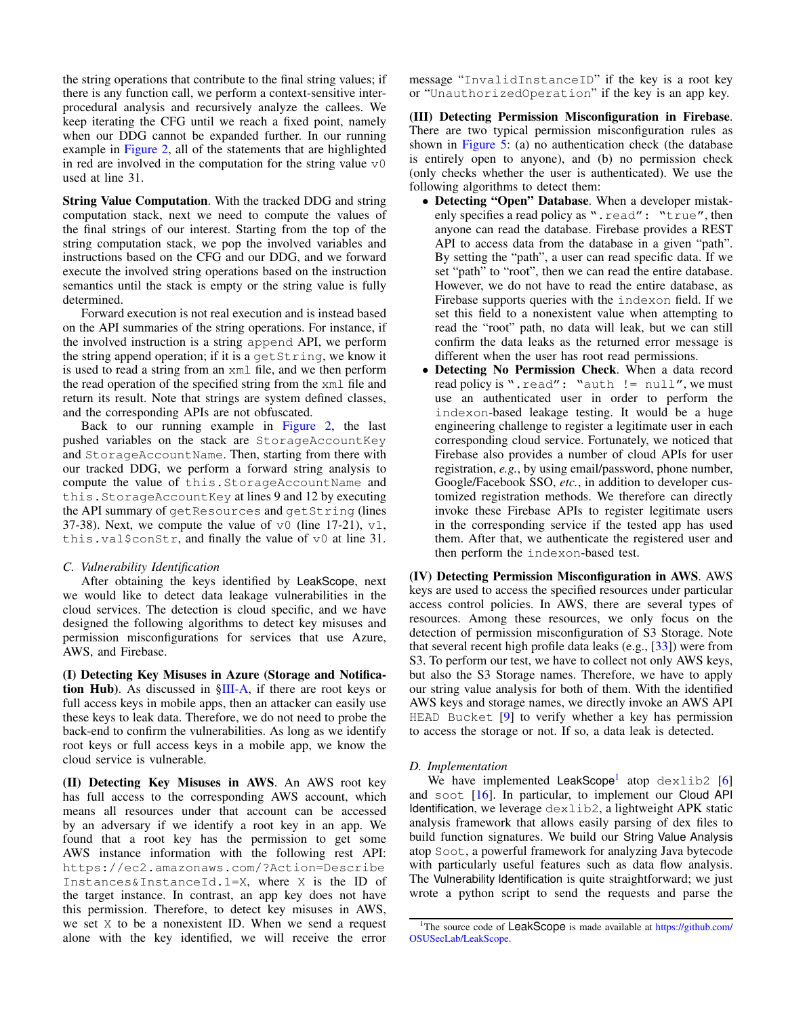the string operations that contribute to the final string values; if there is any function call, we perform a context-sensitive interprocedural analysis and recursively analyze the callees. We keep iterating the CFG until we reach a fixed point, namely when our DDG cannot be expanded further. In our running example in [Figure 2,](#page-2-2) all of the statements that are highlighted in red are involved in the computation for the string value  $\nu$ <sup>0</sup> used at line 31.

String Value Computation. With the tracked DDG and string computation stack, next we need to compute the values of the final strings of our interest. Starting from the top of the string computation stack, we pop the involved variables and instructions based on the CFG and our DDG, and we forward execute the involved string operations based on the instruction semantics until the stack is empty or the string value is fully determined.

Forward execution is not real execution and is instead based on the API summaries of the string operations. For instance, if the involved instruction is a string append API, we perform the string append operation; if it is a getString, we know it is used to read a string from an xml file, and we then perform the read operation of the specified string from the xml file and return its result. Note that strings are system defined classes, and the corresponding APIs are not obfuscated.

Back to our running example in [Figure 2,](#page-2-2) the last pushed variables on the stack are StorageAccountKey and StorageAccountName. Then, starting from there with our tracked DDG, we perform a forward string analysis to compute the value of this.StorageAccountName and this.StorageAccountKey at lines 9 and 12 by executing the API summary of getResources and getString (lines 37-38). Next, we compute the value of  $\vee$  0 (line 17-21),  $\vee$ 1, this.val\$conStr, and finally the value of v0 at line 31.

# <span id="page-7-0"></span>*C. Vulnerability Identification*

After obtaining the keys identified by LeakScope, next we would like to detect data leakage vulnerabilities in the cloud services. The detection is cloud specific, and we have designed the following algorithms to detect key misuses and permission misconfigurations for services that use Azure, AWS, and Firebase.

(I) Detecting Key Misuses in Azure (Storage and Notification Hub). As discussed in  $\S$ III-A, if there are root keys or full access keys in mobile apps, then an attacker can easily use these keys to leak data. Therefore, we do not need to probe the back-end to confirm the vulnerabilities. As long as we identify root keys or full access keys in a mobile app, we know the cloud service is vulnerable.

(II) Detecting Key Misuses in AWS. An AWS root key has full access to the corresponding AWS account, which means all resources under that account can be accessed by an adversary if we identify a root key in an app. We found that a root key has the permission to get some AWS instance information with the following rest API: https://ec2.amazonaws.com/?Action=Describe Instances&InstanceId.1=X, where X is the ID of the target instance. In contrast, an app key does not have this permission. Therefore, to detect key misuses in AWS, we set X to be a nonexistent ID. When we send a request alone with the key identified, we will receive the error message "InvalidInstanceID" if the key is a root key or "UnauthorizedOperation" if the key is an app key.

(III) Detecting Permission Misconfiguration in Firebase. There are two typical permission misconfiguration rules as shown in [Figure 5:](#page-3-3) (a) no authentication check (the database is entirely open to anyone), and (b) no permission check (only checks whether the user is authenticated). We use the following algorithms to detect them:

- Detecting "Open" Database. When a developer mistakenly specifies a read policy as ". read": "true", then anyone can read the database. Firebase provides a REST API to access data from the database in a given "path". By setting the "path", a user can read specific data. If we set "path" to "root", then we can read the entire database. However, we do not have to read the entire database, as Firebase supports queries with the indexon field. If we set this field to a nonexistent value when attempting to read the "root" path, no data will leak, but we can still confirm the data leaks as the returned error message is different when the user has root read permissions.
- Detecting No Permission Check. When a data record read policy is ". read": "auth != null", we must use an authenticated user in order to perform the indexon-based leakage testing. It would be a huge engineering challenge to register a legitimate user in each corresponding cloud service. Fortunately, we noticed that Firebase also provides a number of cloud APIs for user registration, *e.g.*, by using email/password, phone number, Google/Facebook SSO, *etc.*, in addition to developer customized registration methods. We therefore can directly invoke these Firebase APIs to register legitimate users in the corresponding service if the tested app has used them. After that, we authenticate the registered user and then perform the indexon-based test.

(IV) Detecting Permission Misconfiguration in AWS. AWS keys are used to access the specified resources under particular access control policies. In AWS, there are several types of resources. Among these resources, we only focus on the detection of permission misconfiguration of S3 Storage. Note that several recent high profile data leaks (e.g., [\[33\]](#page-13-3)) were from S3. To perform our test, we have to collect not only AWS keys, but also the S3 Storage names. Therefore, we have to apply our string value analysis for both of them. With the identified AWS keys and storage names, we directly invoke an AWS API HEAD Bucket [\[9\]](#page-13-27) to verify whether a key has permission to access the storage or not. If so, a data leak is detected.

# <span id="page-7-1"></span>*D. Implementation*

We have implemented LeakScope<sup>[1](#page-7-2)</sup> atop dexlib2  $[6]$ and soot [\[16\]](#page-13-29). In particular, to implement our Cloud API Identification, we leverage dexlib2, a lightweight APK static analysis framework that allows easily parsing of dex files to build function signatures. We build our String Value Analysis atop Soot, a powerful framework for analyzing Java bytecode with particularly useful features such as data flow analysis. The Vulnerability Identification is quite straightforward; we just wrote a python script to send the requests and parse the

<span id="page-7-2"></span><sup>&</sup>lt;sup>1</sup>The source code of LeakScope is made available at [https://github.com/](https://github.com/OSUSecLab/LeakScope) [OSUSecLab/LeakScope.](https://github.com/OSUSecLab/LeakScope)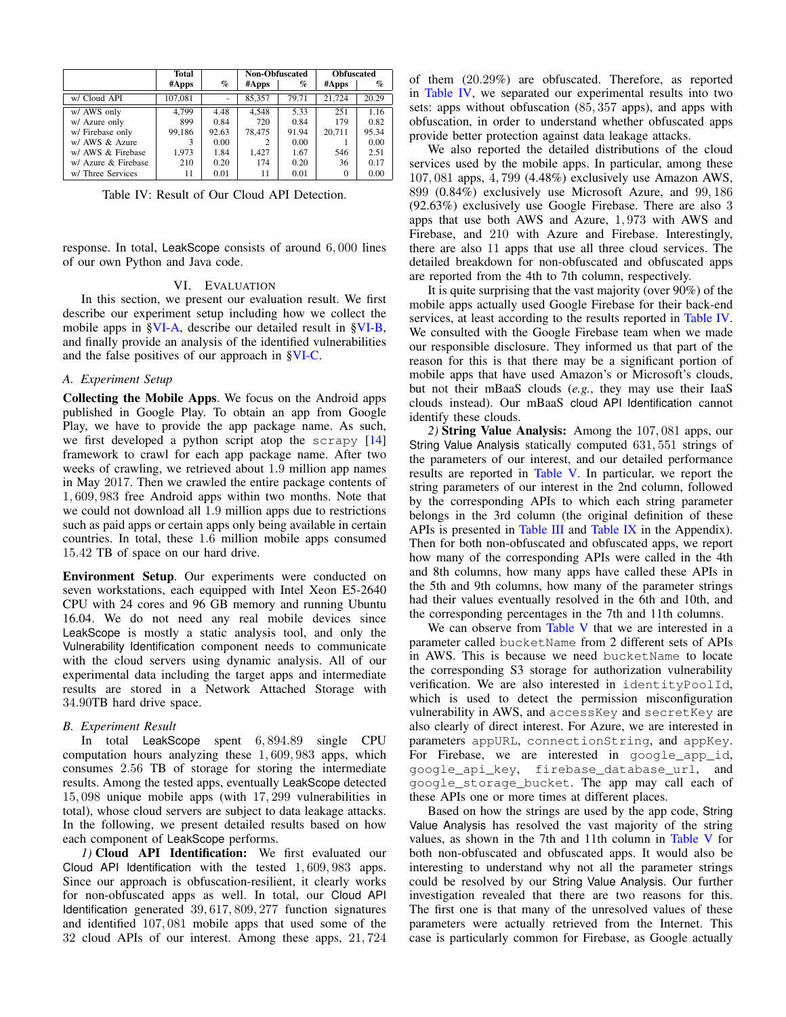<span id="page-8-2"></span>

|                     | Total   |       | <b>Non-Obfuscated</b> |       | <b>Obfuscated</b> |       |
|---------------------|---------|-------|-----------------------|-------|-------------------|-------|
|                     | #Apps   | $\%$  | #Apps                 | $\%$  | #Apps             | $\%$  |
| w/ Cloud API        | 107,081 |       | 85.357                | 79.71 | 21.724            | 20.29 |
| w/ AWS only         | 4.799   | 4.48  | 4.548                 | 5.33  | 251               | 1.16  |
| w/ Azure only       | 899     | 0.84  | 720                   | 0.84  | 179               | 0.82  |
| w/ Firebase only    | 99.186  | 92.63 | 78.475                | 91.94 | 20.711            | 95.34 |
| w/ AWS & Azure      |         | 0.00  | 2                     | 0.00  |                   | 0.00  |
| w/ AWS & Firebase   | 1.973   | 1.84  | 1.427                 | 1.67  | 546               | 2.51  |
| w/ Azure & Firebase | 210     | 0.20  | 174                   | 0.20  | 36                | 0.17  |
| w/ Three Services   | 11      | 0.01  | 11                    | 0.01  | 0                 | 0.00  |

Table IV: Result of Our Cloud API Detection.

response. In total, LeakScope consists of around 6, 000 lines of our own Python and Java code.

## VI. EVALUATION

In this section, we present our evaluation result. We first describe our experiment setup including how we collect the mobile apps in [§VI-A,](#page-8-0) describe our detailed result in [§VI-B,](#page-8-1) and finally provide an analysis of the identified vulnerabilities and the false positives of our approach in [§VI-C.](#page-9-0)

# <span id="page-8-0"></span>*A. Experiment Setup*

Collecting the Mobile Apps. We focus on the Android apps published in Google Play. To obtain an app from Google Play, we have to provide the app package name. As such, we first developed a python script atop the scrapy [\[14\]](#page-13-30) framework to crawl for each app package name. After two weeks of crawling, we retrieved about 1.9 million app names in May 2017. Then we crawled the entire package contents of 1, 609, 983 free Android apps within two months. Note that we could not download all 1.9 million apps due to restrictions such as paid apps or certain apps only being available in certain countries. In total, these 1.6 million mobile apps consumed 15.42 TB of space on our hard drive.

Environment Setup. Our experiments were conducted on seven workstations, each equipped with Intel Xeon E5-2640 CPU with 24 cores and 96 GB memory and running Ubuntu 16.04. We do not need any real mobile devices since LeakScope is mostly a static analysis tool, and only the Vulnerability Identification component needs to communicate with the cloud servers using dynamic analysis. All of our experimental data including the target apps and intermediate results are stored in a Network Attached Storage with 34.90TB hard drive space.

#### <span id="page-8-1"></span>*B. Experiment Result*

In total LeakScope spent 6, 894.89 single CPU computation hours analyzing these 1, 609, 983 apps, which consumes 2.56 TB of storage for storing the intermediate results. Among the tested apps, eventually LeakScope detected 15, 098 unique mobile apps (with 17, 299 vulnerabilities in total), whose cloud servers are subject to data leakage attacks. In the following, we present detailed results based on how each component of LeakScope performs.

*1)* Cloud API Identification: We first evaluated our Cloud API Identification with the tested 1, 609, 983 apps. Since our approach is obfuscation-resilient, it clearly works for non-obfuscated apps as well. In total, our Cloud API Identification generated 39, 617, 809, 277 function signatures and identified 107, 081 mobile apps that used some of the 32 cloud APIs of our interest. Among these apps, 21, 724 of them (20.29%) are obfuscated. Therefore, as reported in [Table IV,](#page-8-2) we separated our experimental results into two sets: apps without obfuscation (85, 357 apps), and apps with obfuscation, in order to understand whether obfuscated apps provide better protection against data leakage attacks.

We also reported the detailed distributions of the cloud services used by the mobile apps. In particular, among these 107, 081 apps, 4, 799 (4.48%) exclusively use Amazon AWS, 899 (0.84%) exclusively use Microsoft Azure, and 99, 186 (92.63%) exclusively use Google Firebase. There are also 3 apps that use both AWS and Azure, 1, 973 with AWS and Firebase, and 210 with Azure and Firebase. Interestingly, there are also 11 apps that use all three cloud services. The detailed breakdown for non-obfuscated and obfuscated apps are reported from the 4th to 7th column, respectively.

It is quite surprising that the vast majority (over 90%) of the mobile apps actually used Google Firebase for their back-end services, at least according to the results reported in [Table IV.](#page-8-2) We consulted with the Google Firebase team when we made our responsible disclosure. They informed us that part of the reason for this is that there may be a significant portion of mobile apps that have used Amazon's or Microsoft's clouds, but not their mBaaS clouds (*e.g.*, they may use their IaaS clouds instead). Our mBaaS cloud API Identification cannot identify these clouds.

*2)* String Value Analysis: Among the 107, 081 apps, our String Value Analysis statically computed 631, 551 strings of the parameters of our interest, and our detailed performance results are reported in [Table V.](#page-9-1) In particular, we report the string parameters of our interest in the 2nd column, followed by the corresponding APIs to which each string parameter belongs in the 3rd column (the original definition of these APIs is presented in [Table III](#page-5-0) and [Table IX](#page-14-0) in the Appendix). Then for both non-obfuscated and obfuscated apps, we report how many of the corresponding APIs were called in the 4th and 8th columns, how many apps have called these APIs in the 5th and 9th columns, how many of the parameter strings had their values eventually resolved in the 6th and 10th, and the corresponding percentages in the 7th and 11th columns.

We can observe from [Table V](#page-9-1) that we are interested in a parameter called bucketName from 2 different sets of APIs in AWS. This is because we need bucketName to locate the corresponding S3 storage for authorization vulnerability verification. We are also interested in identityPoolId, which is used to detect the permission misconfiguration vulnerability in AWS, and accessKey and secretKey are also clearly of direct interest. For Azure, we are interested in parameters appURL, connectionString, and appKey. For Firebase, we are interested in google\_app\_id, google\_api\_key, firebase\_database\_url, and google\_storage\_bucket. The app may call each of these APIs one or more times at different places.

Based on how the strings are used by the app code, String Value Analysis has resolved the vast majority of the string values, as shown in the 7th and 11th column in [Table V](#page-9-1) for both non-obfuscated and obfuscated apps. It would also be interesting to understand why not all the parameter strings could be resolved by our String Value Analysis. Our further investigation revealed that there are two reasons for this. The first one is that many of the unresolved values of these parameters were actually retrieved from the Internet. This case is particularly common for Firebase, as Google actually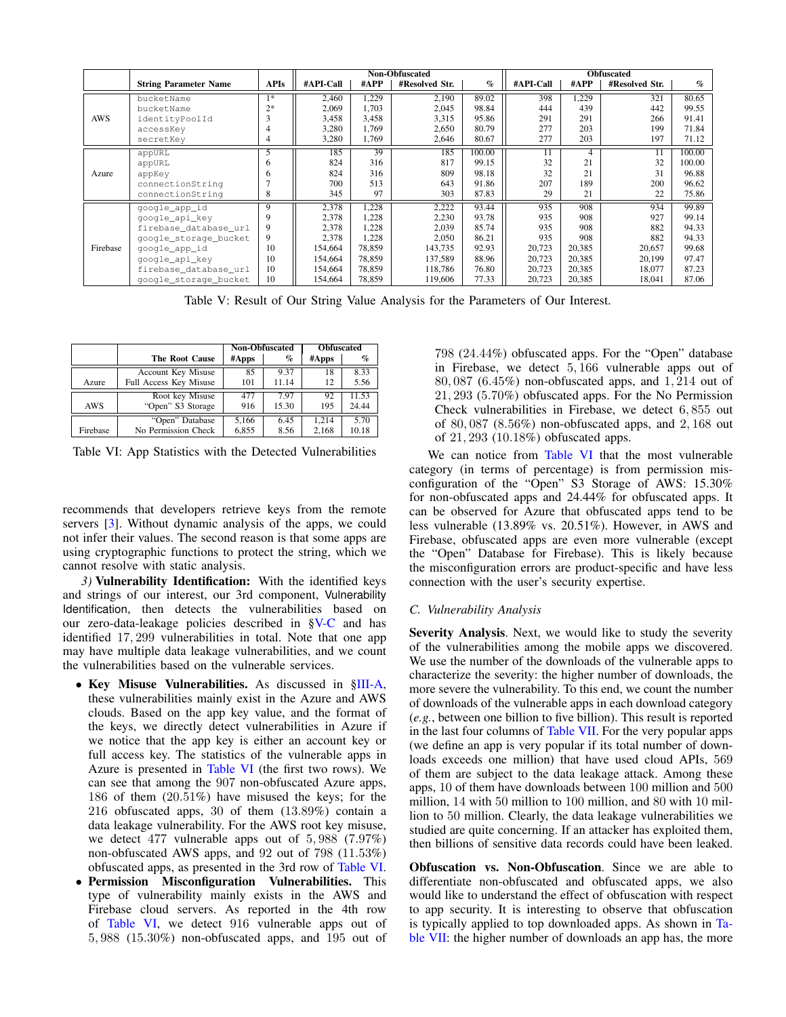<span id="page-9-1"></span>

|            |                              |             |           | <b>Non-Obfuscated</b> |                |        |           |        | <b>Obfuscated</b> |        |
|------------|------------------------------|-------------|-----------|-----------------------|----------------|--------|-----------|--------|-------------------|--------|
|            | <b>String Parameter Name</b> | <b>APIs</b> | #API-Call | #APP                  | #Resolved Str. | $\%$   | #API-Call | #APP   | #Resolved Str.    | $\%$   |
|            | bucketName                   | $1*$        | 2,460     | 1,229                 | 2,190          | 89.02  | 398       | 1,229  | 321               | 80.65  |
|            | bucketName                   | $2*$        | 2,069     | 1,703                 | 2,045          | 98.84  | 444       | 439    | 442               | 99.55  |
| <b>AWS</b> | identityPoolId               | 3           | 3,458     | 3,458                 | 3,315          | 95.86  | 291       | 291    | 266               | 91.41  |
|            | accessKey                    |             | 3,280     | 1.769                 | 2,650          | 80.79  | 277       | 203    | 199               | 71.84  |
|            | secretKey                    |             | 3,280     | 1.769                 | 2,646          | 80.67  | 277       | 203    | 197               | 71.12  |
|            | appURL                       | 5           | 185       | 39                    | 185            | 100.00 | 11        | 4      | 11                | 100.00 |
|            | appURL                       | h           | 824       | 316                   | 817            | 99.15  | 32        | 21     | 32                | 100.00 |
| Azure      | appKey                       | h           | 824       | 316                   | 809            | 98.18  | 32        | 21     | 31                | 96.88  |
|            | connectionString             |             | 700       | 513                   | 643            | 91.86  | 207       | 189    | 200               | 96.62  |
|            | connectionString             | 8           | 345       | 97                    | 303            | 87.83  | 29        | 21     | 22                | 75.86  |
|            | qooqle_app_id                | 9           | 2,378     | 1,228                 | 2,222          | 93.44  | 935       | 908    | 934               | 99.89  |
|            | google_api_key               | 9           | 2,378     | 1,228                 | 2,230          | 93.78  | 935       | 908    | 927               | 99.14  |
|            | firebase database url        | 9           | 2,378     | 1,228                 | 2,039          | 85.74  | 935       | 908    | 882               | 94.33  |
|            | qoogle_storage_bucket        | 9           | 2,378     | 1.228                 | 2,050          | 86.21  | 935       | 908    | 882               | 94.33  |
| Firebase   | qooqle_app_id                | 10          | 154,664   | 78.859                | 143,735        | 92.93  | 20.723    | 20,385 | 20,657            | 99.68  |
|            | google_api_key               | 10          | 154,664   | 78.859                | 137,589        | 88.96  | 20,723    | 20,385 | 20,199            | 97.47  |
|            | firebase database url        | 10          | 154,664   | 78,859                | 118,786        | 76.80  | 20,723    | 20,385 | 18,077            | 87.23  |
|            | google_storage_bucket        | 10          | 154,664   | 78,859                | 119,606        | 77.33  | 20,723    | 20,385 | 18,041            | 87.06  |

Table V: Result of Our String Value Analysis for the Parameters of Our Interest.

<span id="page-9-2"></span>

|          |                           |       | <b>Non-Obfuscated</b> |       | <b>Obfuscated</b> |
|----------|---------------------------|-------|-----------------------|-------|-------------------|
|          | <b>The Root Cause</b>     | #Apps | $\%$                  | #Apps | $\%$              |
|          | <b>Account Key Misuse</b> | 85    | 9.37                  | 18    | 8.33              |
| Azure    | Full Access Key Misuse    | 101   | 11.14                 | 12    | 5.56              |
|          | Root key Misuse           | 477   | 7.97                  | 92    | 11.53             |
| AWS      | "Open" S3 Storage         | 916   | 15.30                 | 195   | 24.44             |
|          | "Open" Database           | 5.166 | 6.45                  | 1.214 | 5.70              |
| Firebase | No Permission Check       | 6,855 | 8.56                  | 2,168 | 10.18             |

Table VI: App Statistics with the Detected Vulnerabilities

recommends that developers retrieve keys from the remote servers [\[3\]](#page-13-31). Without dynamic analysis of the apps, we could not infer their values. The second reason is that some apps are using cryptographic functions to protect the string, which we cannot resolve with static analysis.

*3)* Vulnerability Identification: With the identified keys and strings of our interest, our 3rd component, Vulnerability Identification, then detects the vulnerabilities based on our zero-data-leakage policies described in [§V-C](#page-7-0) and has identified 17, 299 vulnerabilities in total. Note that one app may have multiple data leakage vulnerabilities, and we count the vulnerabilities based on the vulnerable services.

- Key Misuse Vulnerabilities. As discussed in [§III-A,](#page-2-0) these vulnerabilities mainly exist in the Azure and AWS clouds. Based on the app key value, and the format of the keys, we directly detect vulnerabilities in Azure if we notice that the app key is either an account key or full access key. The statistics of the vulnerable apps in Azure is presented in [Table VI](#page-9-2) (the first two rows). We can see that among the 907 non-obfuscated Azure apps, 186 of them (20.51%) have misused the keys; for the 216 obfuscated apps, 30 of them (13.89%) contain a data leakage vulnerability. For the AWS root key misuse, we detect 477 vulnerable apps out of 5, 988 (7.97%) non-obfuscated AWS apps, and 92 out of 798 (11.53%) obfuscated apps, as presented in the 3rd row of [Table VI.](#page-9-2)
- Permission Misconfiguration Vulnerabilities. This type of vulnerability mainly exists in the AWS and Firebase cloud servers. As reported in the 4th row of [Table VI,](#page-9-2) we detect 916 vulnerable apps out of 5, 988 (15.30%) non-obfuscated apps, and 195 out of

798 (24.44%) obfuscated apps. For the "Open" database in Firebase, we detect 5, 166 vulnerable apps out of 80, 087 (6.45%) non-obfuscated apps, and 1, 214 out of 21, 293 (5.70%) obfuscated apps. For the No Permission Check vulnerabilities in Firebase, we detect 6, 855 out of 80, 087 (8.56%) non-obfuscated apps, and 2, 168 out of 21, 293 (10.18%) obfuscated apps.

We can notice from [Table VI](#page-9-2) that the most vulnerable category (in terms of percentage) is from permission misconfiguration of the "Open" S3 Storage of AWS: 15.30% for non-obfuscated apps and 24.44% for obfuscated apps. It can be observed for Azure that obfuscated apps tend to be less vulnerable (13.89% vs. 20.51%). However, in AWS and Firebase, obfuscated apps are even more vulnerable (except the "Open" Database for Firebase). This is likely because the misconfiguration errors are product-specific and have less connection with the user's security expertise.

## <span id="page-9-0"></span>*C. Vulnerability Analysis*

Severity Analysis. Next, we would like to study the severity of the vulnerabilities among the mobile apps we discovered. We use the number of the downloads of the vulnerable apps to characterize the severity: the higher number of downloads, the more severe the vulnerability. To this end, we count the number of downloads of the vulnerable apps in each download category (*e.g.*, between one billion to five billion). This result is reported in the last four columns of [Table VII.](#page-10-0) For the very popular apps (we define an app is very popular if its total number of downloads exceeds one million) that have used cloud APIs, 569 of them are subject to the data leakage attack. Among these apps, 10 of them have downloads between 100 million and 500 million, 14 with 50 million to 100 million, and 80 with 10 million to 50 million. Clearly, the data leakage vulnerabilities we studied are quite concerning. If an attacker has exploited them, then billions of sensitive data records could have been leaked.

Obfuscation vs. Non-Obfuscation. Since we are able to differentiate non-obfuscated and obfuscated apps, we also would like to understand the effect of obfuscation with respect to app security. It is interesting to observe that obfuscation is typically applied to top downloaded apps. As shown in [Ta](#page-10-0)[ble VII:](#page-10-0) the higher number of downloads an app has, the more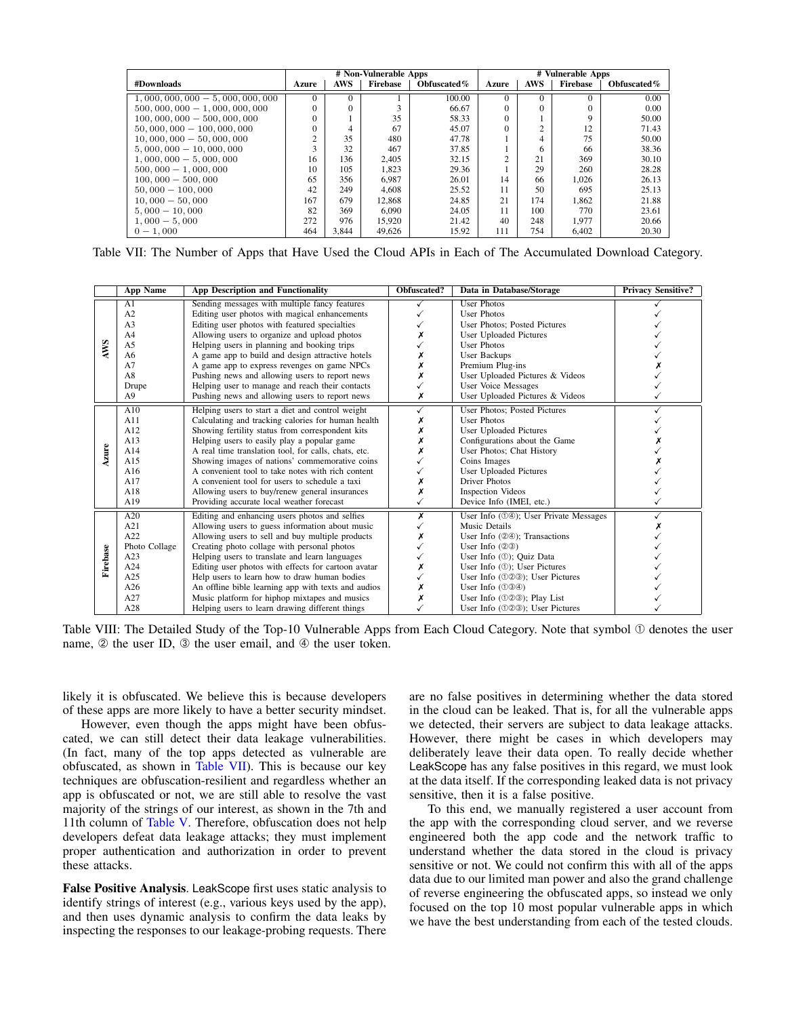<span id="page-10-0"></span>

|                                 |                | # Non-Vulnerable Apps |                 |                | # Vulnerable Apps |                |          |                 |
|---------------------------------|----------------|-----------------------|-----------------|----------------|-------------------|----------------|----------|-----------------|
| #Downloads                      | Azure          | <b>AWS</b>            | <b>Firebase</b> | Obfuscated $%$ | Azure             | <b>AWS</b>     | Firebase | Obfuscated $\%$ |
| $1,000,000,000 - 5,000,000,000$ | $\Omega$       | 0                     |                 | 100.00         |                   | $\Omega$       | 0        | 0.00            |
| $500,000,000 - 1,000,000,000$   | $\Omega$       | $\Omega$              | 3               | 66.67          | $\Omega$          | $\Omega$       | 0        | 0.00            |
| $100,000,000 - 500,000,000$     | $\Omega$       |                       | 35              | 58.33          | $\Omega$          |                | 9        | 50.00           |
| $50,000,000 - 100,000,000$      | $\mathbf{0}$   | 4                     | 67              | 45.07          | 0                 | $\overline{c}$ | 12       | 71.43           |
| $10,000,000 - 50,000,000$       | $\overline{2}$ | 35                    | 480             | 47.78          |                   | 4              | 75       | 50.00           |
| $5,000,000 - 10,000,000$        | 3              | 32                    | 467             | 37.85          |                   | 6              | 66       | 38.36           |
| $1,000,000 - 5,000,000$         | 16             | 136                   | 2,405           | 32.15          | 2                 | 21             | 369      | 30.10           |
| $500,000 - 1,000,000$           | 10             | 105                   | 1.823           | 29.36          |                   | 29             | 260      | 28.28           |
| $100,000 - 500,000$             | 65             | 356                   | 6.987           | 26.01          | 14                | 66             | 1.026    | 26.13           |
| $50,000 - 100,000$              | 42             | 249                   | 4.608           | 25.52          | 11                | 50             | 695      | 25.13           |
| $10,000 - 50,000$               | 167            | 679                   | 12,868          | 24.85          | 21                | 174            | 1,862    | 21.88           |
| $5,000 - 10,000$                | 82             | 369                   | 6.090           | 24.05          | 11                | 100            | 770      | 23.61           |
| $1,000-5,000$                   | 272            | 976                   | 15.920          | 21.42          | 40                | 248            | 1.977    | 20.66           |
| $0 - 1,000$                     | 464            | 3,844                 | 49,626          | 15.92          | 111               | 754            | 6,402    | 20.30           |

Table VII: The Number of Apps that Have Used the Cloud APIs in Each of The Accumulated Download Category.

<span id="page-10-1"></span>

|            | <b>App Name</b> | <b>App Description and Functionality</b>             | Obfuscated? | Data in Database/Storage                                                                           | <b>Privacy Sensitive?</b> |
|------------|-----------------|------------------------------------------------------|-------------|----------------------------------------------------------------------------------------------------|---------------------------|
|            | A1              | Sending messages with multiple fancy features        |             | <b>User Photos</b>                                                                                 |                           |
|            | A2              | Editing user photos with magical enhancements        |             | <b>User Photos</b>                                                                                 |                           |
|            | A <sub>3</sub>  | Editing user photos with featured specialties        |             | User Photos: Posted Pictures                                                                       |                           |
|            | A <sub>4</sub>  | Allowing users to organize and upload photos         | X           | User Uploaded Pictures                                                                             |                           |
| <b>AWS</b> | A <sub>5</sub>  | Helping users in planning and booking trips          |             | <b>User Photos</b>                                                                                 |                           |
|            | A6              | A game app to build and design attractive hotels     | Х           | <b>User Backups</b>                                                                                |                           |
|            | A7              | A game app to express revenges on game NPCs          |             | Premium Plug-ins                                                                                   |                           |
|            | A8              | Pushing news and allowing users to report news       |             | User Uploaded Pictures & Videos                                                                    |                           |
|            | Drupe           | Helping user to manage and reach their contacts      |             | User Voice Messages                                                                                |                           |
|            | A9              | Pushing news and allowing users to report news       | Х           | User Uploaded Pictures & Videos                                                                    |                           |
|            | A10             | Helping users to start a diet and control weight     | ✓           | User Photos: Posted Pictures                                                                       |                           |
|            | A11             | Calculating and tracking calories for human health   | X           | <b>User Photos</b>                                                                                 |                           |
|            | A12             | Showing fertility status from correspondent kits     | Х           | <b>User Uploaded Pictures</b>                                                                      |                           |
|            | A13             | Helping users to easily play a popular game          | X           | Configurations about the Game                                                                      |                           |
| zure       | A14             | A real time translation tool, for calls, chats, etc. |             | User Photos; Chat History                                                                          |                           |
|            | A15             | Showing images of nations' commemorative coins       |             | Coins Images                                                                                       |                           |
|            | A16             | A convenient tool to take notes with rich content    |             | <b>User Uploaded Pictures</b>                                                                      |                           |
|            | A17             | A convenient tool for users to schedule a taxi       |             | <b>Driver Photos</b>                                                                               |                           |
|            | A18             | Allowing users to buy/renew general insurances       |             | <b>Inspection Videos</b>                                                                           |                           |
|            | A19             | Providing accurate local weather forecast            |             | Device Info (IMEI, etc.)                                                                           |                           |
|            | A20             | Editing and enhancing users photos and selfies       | Х           | User Info (14); User Private Messages                                                              |                           |
|            | A21             | Allowing users to guess information about music      |             | Music Details                                                                                      |                           |
|            | A22             | Allowing users to sell and buy multiple products     | Х           | User Info $(24)$ ; Transactions                                                                    |                           |
|            | Photo Collage   | Creating photo collage with personal photos          |             | User Info $(20)$                                                                                   |                           |
|            | A23             | Helping users to translate and learn languages       |             | User Info (1); Quiz Data                                                                           |                           |
| Firebase   | A24             | Editing user photos with effects for cartoon avatar  | Х           | User Info (①); User Pictures                                                                       |                           |
|            | A25             | Help users to learn how to draw human bodies         |             | User Info (123); User Pictures                                                                     |                           |
|            | A26             | An offline bible learning app with texts and audios  | X           | User Info $(\textcircled{\scriptsize{1}}\textcircled{\scriptsize{4}}\textcircled{\scriptsize{4}})$ |                           |
|            | A27             | Music platform for hiphop mixtapes and musics        |             | User Info (123); Play List                                                                         |                           |
|            | A28             | Helping users to learn drawing different things      |             | User Info (123); User Pictures                                                                     |                           |

Table VIII: The Detailed Study of the Top-10 Vulnerable Apps from Each Cloud Category. Note that symbol ➀ denotes the user name,  $\oslash$  the user ID,  $\oslash$  the user email, and  $\oslash$  the user token.

likely it is obfuscated. We believe this is because developers of these apps are more likely to have a better security mindset.

However, even though the apps might have been obfuscated, we can still detect their data leakage vulnerabilities. (In fact, many of the top apps detected as vulnerable are obfuscated, as shown in [Table VII\)](#page-10-0). This is because our key techniques are obfuscation-resilient and regardless whether an app is obfuscated or not, we are still able to resolve the vast majority of the strings of our interest, as shown in the 7th and 11th column of [Table V.](#page-9-1) Therefore, obfuscation does not help developers defeat data leakage attacks; they must implement proper authentication and authorization in order to prevent these attacks.

False Positive Analysis. LeakScope first uses static analysis to identify strings of interest (e.g., various keys used by the app), and then uses dynamic analysis to confirm the data leaks by inspecting the responses to our leakage-probing requests. There are no false positives in determining whether the data stored in the cloud can be leaked. That is, for all the vulnerable apps we detected, their servers are subject to data leakage attacks. However, there might be cases in which developers may deliberately leave their data open. To really decide whether LeakScope has any false positives in this regard, we must look at the data itself. If the corresponding leaked data is not privacy sensitive, then it is a false positive.

To this end, we manually registered a user account from the app with the corresponding cloud server, and we reverse engineered both the app code and the network traffic to understand whether the data stored in the cloud is privacy sensitive or not. We could not confirm this with all of the apps data due to our limited man power and also the grand challenge of reverse engineering the obfuscated apps, so instead we only focused on the top 10 most popular vulnerable apps in which we have the best understanding from each of the tested clouds.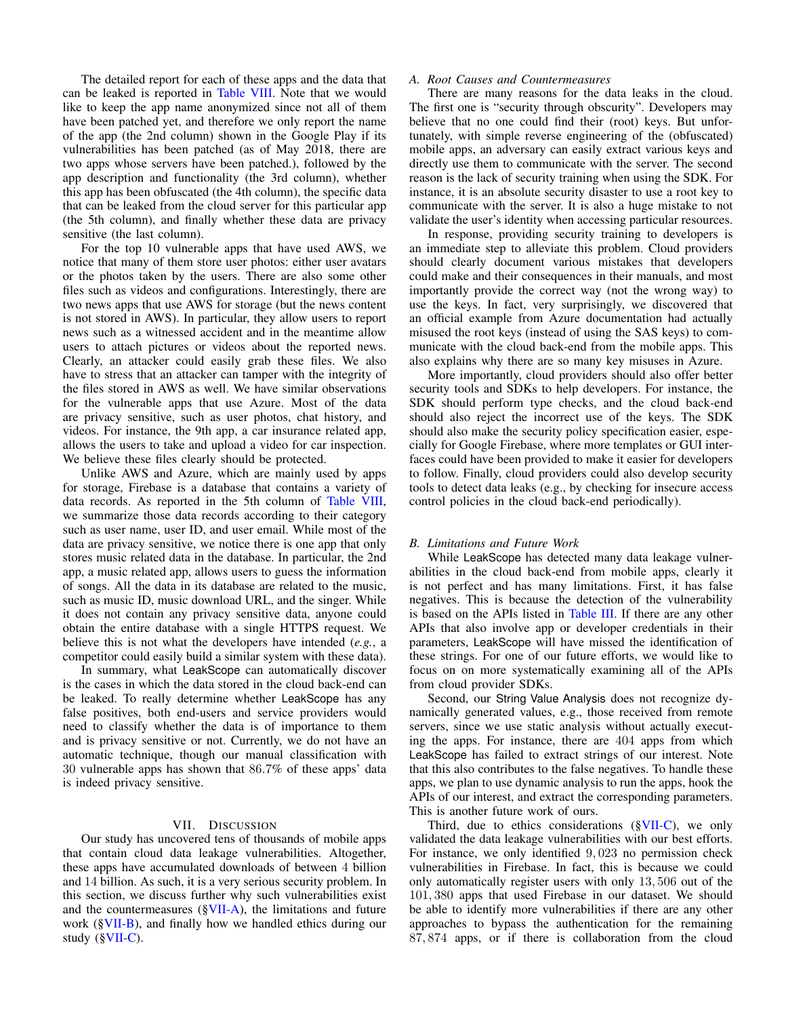The detailed report for each of these apps and the data that can be leaked is reported in [Table VIII.](#page-10-1) Note that we would like to keep the app name anonymized since not all of them have been patched yet, and therefore we only report the name of the app (the 2nd column) shown in the Google Play if its vulnerabilities has been patched (as of May 2018, there are two apps whose servers have been patched.), followed by the app description and functionality (the 3rd column), whether this app has been obfuscated (the 4th column), the specific data that can be leaked from the cloud server for this particular app (the 5th column), and finally whether these data are privacy sensitive (the last column).

For the top 10 vulnerable apps that have used AWS, we notice that many of them store user photos: either user avatars or the photos taken by the users. There are also some other files such as videos and configurations. Interestingly, there are two news apps that use AWS for storage (but the news content is not stored in AWS). In particular, they allow users to report news such as a witnessed accident and in the meantime allow users to attach pictures or videos about the reported news. Clearly, an attacker could easily grab these files. We also have to stress that an attacker can tamper with the integrity of the files stored in AWS as well. We have similar observations for the vulnerable apps that use Azure. Most of the data are privacy sensitive, such as user photos, chat history, and videos. For instance, the 9th app, a car insurance related app, allows the users to take and upload a video for car inspection. We believe these files clearly should be protected.

Unlike AWS and Azure, which are mainly used by apps for storage, Firebase is a database that contains a variety of data records. As reported in the 5th column of [Table VIII,](#page-10-1) we summarize those data records according to their category such as user name, user ID, and user email. While most of the data are privacy sensitive, we notice there is one app that only stores music related data in the database. In particular, the 2nd app, a music related app, allows users to guess the information of songs. All the data in its database are related to the music, such as music ID, music download URL, and the singer. While it does not contain any privacy sensitive data, anyone could obtain the entire database with a single HTTPS request. We believe this is not what the developers have intended (*e.g.*, a competitor could easily build a similar system with these data).

In summary, what LeakScope can automatically discover is the cases in which the data stored in the cloud back-end can be leaked. To really determine whether LeakScope has any false positives, both end-users and service providers would need to classify whether the data is of importance to them and is privacy sensitive or not. Currently, we do not have an automatic technique, though our manual classification with 30 vulnerable apps has shown that 86.7% of these apps' data is indeed privacy sensitive.

## VII. DISCUSSION

Our study has uncovered tens of thousands of mobile apps that contain cloud data leakage vulnerabilities. Altogether, these apps have accumulated downloads of between 4 billion and 14 billion. As such, it is a very serious security problem. In this section, we discuss further why such vulnerabilities exist and the countermeasures  $(\S$ VII-A), the limitations and future work ([§VII-B\)](#page-11-1), and finally how we handled ethics during our study  $(\S$ VII-C).

## <span id="page-11-0"></span>*A. Root Causes and Countermeasures*

There are many reasons for the data leaks in the cloud. The first one is "security through obscurity". Developers may believe that no one could find their (root) keys. But unfortunately, with simple reverse engineering of the (obfuscated) mobile apps, an adversary can easily extract various keys and directly use them to communicate with the server. The second reason is the lack of security training when using the SDK. For instance, it is an absolute security disaster to use a root key to communicate with the server. It is also a huge mistake to not validate the user's identity when accessing particular resources.

In response, providing security training to developers is an immediate step to alleviate this problem. Cloud providers should clearly document various mistakes that developers could make and their consequences in their manuals, and most importantly provide the correct way (not the wrong way) to use the keys. In fact, very surprisingly, we discovered that an official example from Azure documentation had actually misused the root keys (instead of using the SAS keys) to communicate with the cloud back-end from the mobile apps. This also explains why there are so many key misuses in Azure.

More importantly, cloud providers should also offer better security tools and SDKs to help developers. For instance, the SDK should perform type checks, and the cloud back-end should also reject the incorrect use of the keys. The SDK should also make the security policy specification easier, especially for Google Firebase, where more templates or GUI interfaces could have been provided to make it easier for developers to follow. Finally, cloud providers could also develop security tools to detect data leaks (e.g., by checking for insecure access control policies in the cloud back-end periodically).

## <span id="page-11-1"></span>*B. Limitations and Future Work*

While LeakScope has detected many data leakage vulnerabilities in the cloud back-end from mobile apps, clearly it is not perfect and has many limitations. First, it has false negatives. This is because the detection of the vulnerability is based on the APIs listed in [Table III.](#page-5-0) If there are any other APIs that also involve app or developer credentials in their parameters, LeakScope will have missed the identification of these strings. For one of our future efforts, we would like to focus on on more systematically examining all of the APIs from cloud provider SDKs.

Second, our String Value Analysis does not recognize dynamically generated values, e.g., those received from remote servers, since we use static analysis without actually executing the apps. For instance, there are 404 apps from which LeakScope has failed to extract strings of our interest. Note that this also contributes to the false negatives. To handle these apps, we plan to use dynamic analysis to run the apps, hook the APIs of our interest, and extract the corresponding parameters. This is another future work of ours.

Third, due to ethics considerations ([§VII-C\)](#page-12-0), we only validated the data leakage vulnerabilities with our best efforts. For instance, we only identified 9, 023 no permission check vulnerabilities in Firebase. In fact, this is because we could only automatically register users with only 13, 506 out of the 101, 380 apps that used Firebase in our dataset. We should be able to identify more vulnerabilities if there are any other approaches to bypass the authentication for the remaining 87, 874 apps, or if there is collaboration from the cloud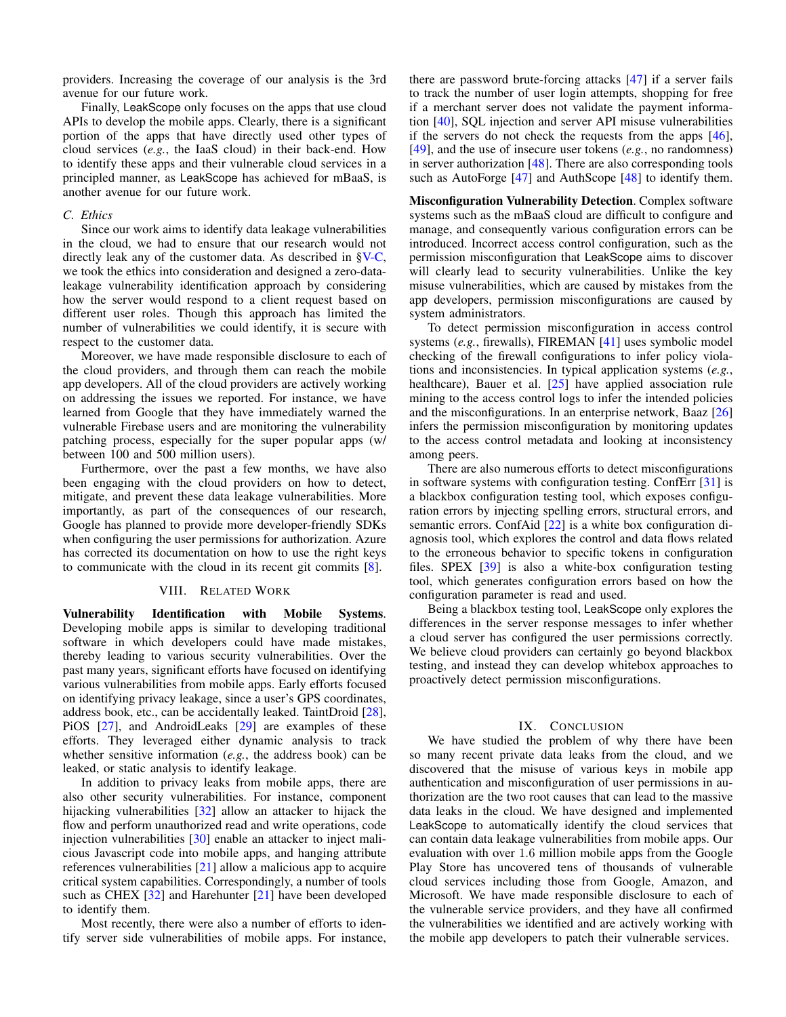providers. Increasing the coverage of our analysis is the 3rd avenue for our future work.

Finally, LeakScope only focuses on the apps that use cloud APIs to develop the mobile apps. Clearly, there is a significant portion of the apps that have directly used other types of cloud services (*e.g.*, the IaaS cloud) in their back-end. How to identify these apps and their vulnerable cloud services in a principled manner, as LeakScope has achieved for mBaaS, is another avenue for our future work.

### <span id="page-12-0"></span>*C. Ethics*

Since our work aims to identify data leakage vulnerabilities in the cloud, we had to ensure that our research would not directly leak any of the customer data. As described in [§V-C,](#page-7-0) we took the ethics into consideration and designed a zero-dataleakage vulnerability identification approach by considering how the server would respond to a client request based on different user roles. Though this approach has limited the number of vulnerabilities we could identify, it is secure with respect to the customer data.

Moreover, we have made responsible disclosure to each of the cloud providers, and through them can reach the mobile app developers. All of the cloud providers are actively working on addressing the issues we reported. For instance, we have learned from Google that they have immediately warned the vulnerable Firebase users and are monitoring the vulnerability patching process, especially for the super popular apps (w/ between 100 and 500 million users).

Furthermore, over the past a few months, we have also been engaging with the cloud providers on how to detect, mitigate, and prevent these data leakage vulnerabilities. More importantly, as part of the consequences of our research, Google has planned to provide more developer-friendly SDKs when configuring the user permissions for authorization. Azure has corrected its documentation on how to use the right keys to communicate with the cloud in its recent git commits [\[8\]](#page-13-4).

## VIII. RELATED WORK

Vulnerability Identification with Mobile Systems. Developing mobile apps is similar to developing traditional software in which developers could have made mistakes, thereby leading to various security vulnerabilities. Over the past many years, significant efforts have focused on identifying various vulnerabilities from mobile apps. Early efforts focused on identifying privacy leakage, since a user's GPS coordinates, address book, etc., can be accidentally leaked. TaintDroid [\[28\]](#page-13-32), PiOS [\[27\]](#page-13-33), and AndroidLeaks [\[29\]](#page-13-34) are examples of these efforts. They leveraged either dynamic analysis to track whether sensitive information (*e.g.*, the address book) can be leaked, or static analysis to identify leakage.

In addition to privacy leaks from mobile apps, there are also other security vulnerabilities. For instance, component hijacking vulnerabilities [\[32\]](#page-13-35) allow an attacker to hijack the flow and perform unauthorized read and write operations, code injection vulnerabilities [\[30\]](#page-13-36) enable an attacker to inject malicious Javascript code into mobile apps, and hanging attribute references vulnerabilities [\[21\]](#page-13-37) allow a malicious app to acquire critical system capabilities. Correspondingly, a number of tools such as CHEX [\[32\]](#page-13-35) and Harehunter [\[21\]](#page-13-37) have been developed to identify them.

Most recently, there were also a number of efforts to identify server side vulnerabilities of mobile apps. For instance, there are password brute-forcing attacks [\[47\]](#page-14-1) if a server fails to track the number of user login attempts, shopping for free if a merchant server does not validate the payment information [\[40\]](#page-13-38), SQL injection and server API misuse vulnerabilities if the servers do not check the requests from the apps [\[46\]](#page-14-2), [\[49\]](#page-14-3), and the use of insecure user tokens (*e.g.*, no randomness) in server authorization [\[48\]](#page-14-4). There are also corresponding tools such as AutoForge [\[47\]](#page-14-1) and AuthScope [\[48\]](#page-14-4) to identify them.

Misconfiguration Vulnerability Detection. Complex software systems such as the mBaaS cloud are difficult to configure and manage, and consequently various configuration errors can be introduced. Incorrect access control configuration, such as the permission misconfiguration that LeakScope aims to discover will clearly lead to security vulnerabilities. Unlike the key misuse vulnerabilities, which are caused by mistakes from the app developers, permission misconfigurations are caused by system administrators.

To detect permission misconfiguration in access control systems (*e.g.*, firewalls), FIREMAN [\[41\]](#page-13-39) uses symbolic model checking of the firewall configurations to infer policy violations and inconsistencies. In typical application systems (*e.g.*, healthcare), Bauer et al. [\[25\]](#page-13-40) have applied association rule mining to the access control logs to infer the intended policies and the misconfigurations. In an enterprise network, Baaz [\[26\]](#page-13-41) infers the permission misconfiguration by monitoring updates to the access control metadata and looking at inconsistency among peers.

There are also numerous efforts to detect misconfigurations in software systems with configuration testing. ConfErr [\[31\]](#page-13-42) is a blackbox configuration testing tool, which exposes configuration errors by injecting spelling errors, structural errors, and semantic errors. ConfAid [\[22\]](#page-13-43) is a white box configuration diagnosis tool, which explores the control and data flows related to the erroneous behavior to specific tokens in configuration files. SPEX [\[39\]](#page-13-44) is also a white-box configuration testing tool, which generates configuration errors based on how the configuration parameter is read and used.

Being a blackbox testing tool, LeakScope only explores the differences in the server response messages to infer whether a cloud server has configured the user permissions correctly. We believe cloud providers can certainly go beyond blackbox testing, and instead they can develop whitebox approaches to proactively detect permission misconfigurations.

# IX. CONCLUSION

We have studied the problem of why there have been so many recent private data leaks from the cloud, and we discovered that the misuse of various keys in mobile app authentication and misconfiguration of user permissions in authorization are the two root causes that can lead to the massive data leaks in the cloud. We have designed and implemented LeakScope to automatically identify the cloud services that can contain data leakage vulnerabilities from mobile apps. Our evaluation with over 1.6 million mobile apps from the Google Play Store has uncovered tens of thousands of vulnerable cloud services including those from Google, Amazon, and Microsoft. We have made responsible disclosure to each of the vulnerable service providers, and they have all confirmed the vulnerabilities we identified and are actively working with the mobile app developers to patch their vulnerable services.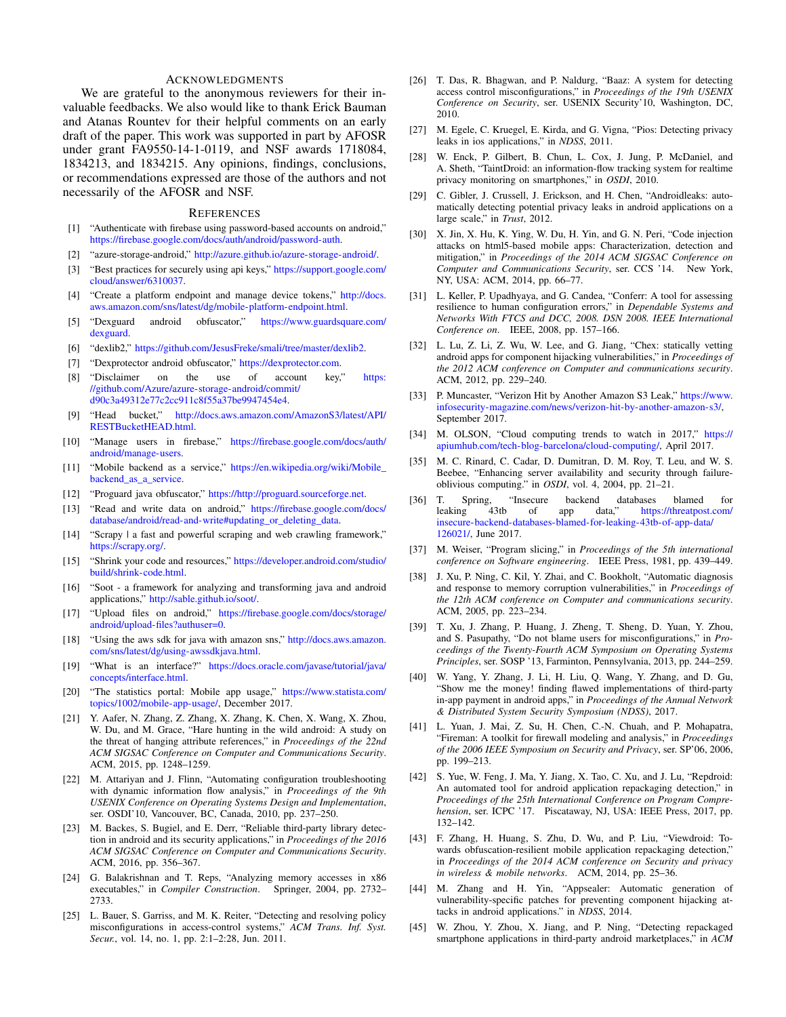### ACKNOWLEDGMENTS

We are grateful to the anonymous reviewers for their invaluable feedbacks. We also would like to thank Erick Bauman and Atanas Rountev for their helpful comments on an early draft of the paper. This work was supported in part by AFOSR under grant FA9550-14-1-0119, and NSF awards 1718084, 1834213, and 1834215. Any opinions, findings, conclusions, or recommendations expressed are those of the authors and not necessarily of the AFOSR and NSF.

## **REFERENCES**

- <span id="page-13-7"></span>[1] "Authenticate with firebase using password-based accounts on android," [https://firebase.google.com/docs/auth/android/password-auth.](https://firebase.google.com/docs/auth/android/password-auth)
- <span id="page-13-10"></span>[2] "azure-storage-android," [http://azure.github.io/azure-storage-android/.](http://azure.github.io/azure-storage-android/)
- <span id="page-13-31"></span>[3] "Best practices for securely using api keys," [https://support.google.com/](https://support.google.com/cloud/answer/6310037) [cloud/answer/6310037.](https://support.google.com/cloud/answer/6310037)
- <span id="page-13-11"></span>[4] "Create a platform endpoint and manage device tokens," [http://docs.](http://docs.aws.amazon.com/sns/latest/dg/mobile-platform-endpoint.html) [aws.amazon.com/sns/latest/dg/mobile-platform-endpoint.html.](http://docs.aws.amazon.com/sns/latest/dg/mobile-platform-endpoint.html)
- <span id="page-13-17"></span>[5] "Dexguard android obfuscator," [https://www.guardsquare.com/](https://www.guardsquare.com/dexguard) [dexguard.](https://www.guardsquare.com/dexguard)
- <span id="page-13-28"></span>[6] "dexlib2," [https://github.com/JesusFreke/smali/tree/master/dexlib2.](https://github.com/JesusFreke/smali/tree/master/dexlib2)
- <span id="page-13-16"></span>[7] "Dexprotector android obfuscator," [https://dexprotector.com.](https://dexprotector.com)
- <span id="page-13-4"></span>[8] "Disclaimer on the use of account key," [https:](https://github.com/Azure/azure-storage-android/commit/d90c3a49312e77c2cc911c8f55a37be9947454e4) [//github.com/Azure/azure-storage-android/commit/](https://github.com/Azure/azure-storage-android/commit/d90c3a49312e77c2cc911c8f55a37be9947454e4) [d90c3a49312e77c2cc911c8f55a37be9947454e4.](https://github.com/Azure/azure-storage-android/commit/d90c3a49312e77c2cc911c8f55a37be9947454e4)
- <span id="page-13-27"></span>[9] "Head bucket," [http://docs.aws.amazon.com/AmazonS3/latest/API/](http://docs.aws.amazon.com/AmazonS3/latest/API/RESTBucketHEAD.html) [RESTBucketHEAD.html.](http://docs.aws.amazon.com/AmazonS3/latest/API/RESTBucketHEAD.html)
- <span id="page-13-8"></span>[10] "Manage users in firebase," [https://firebase.google.com/docs/auth/](https://firebase.google.com/docs/auth/android/manage-users) [android/manage-users.](https://firebase.google.com/docs/auth/android/manage-users)
- <span id="page-13-5"></span>[11] "Mobile backend as a service," [https://en.wikipedia.org/wiki/Mobile\\_](https://en.wikipedia.org/wiki/Mobile_backend_as_a_service) [backend\\_as\\_a\\_service.](https://en.wikipedia.org/wiki/Mobile_backend_as_a_service)
- <span id="page-13-18"></span>[12] "Proguard java obfuscator," [https://http://proguard.sourceforge.net.](https://http://proguard.sourceforge.net)
- <span id="page-13-6"></span>[13] "Read and write data on android," [https://firebase.google.com/docs/](https://firebase.google.com/docs/database/android/read-and-write#updating_or_deleting_data) [database/android/read-and-write#updating\\_or\\_deleting\\_data.](https://firebase.google.com/docs/database/android/read-and-write#updating_or_deleting_data)
- <span id="page-13-30"></span>[14] "Scrapy | a fast and powerful scraping and web crawling framework," [https://scrapy.org/.](https://scrapy.org/)
- <span id="page-13-19"></span>[15] "Shrink your code and resources," [https://developer.android.com/studio/](https://developer.android.com/studio/build/shrink-code.html) [build/shrink-code.html.](https://developer.android.com/studio/build/shrink-code.html)
- <span id="page-13-29"></span>[16] "Soot - a framework for analyzing and transforming java and android applications," [http://sable.github.io/soot/.](http://sable.github.io/soot/)
- <span id="page-13-9"></span>[17] "Upload files on android," [https://firebase.google.com/docs/storage/](https://firebase.google.com/docs/storage/android/upload-files?authuser=0) [android/upload-files?authuser=0.](https://firebase.google.com/docs/storage/android/upload-files?authuser=0)
- <span id="page-13-12"></span>[18] "Using the aws sdk for java with amazon sns," [http://docs.aws.amazon.](http://docs.aws.amazon.com/sns/latest/dg/using-awssdkjava.html) [com/sns/latest/dg/using-awssdkjava.html.](http://docs.aws.amazon.com/sns/latest/dg/using-awssdkjava.html)
- <span id="page-13-22"></span>[19] "What is an interface?" [https://docs.oracle.com/javase/tutorial/java/](https://docs.oracle.com/javase/tutorial/java/concepts/interface.html) [concepts/interface.html.](https://docs.oracle.com/javase/tutorial/java/concepts/interface.html)
- <span id="page-13-1"></span>[20] "The statistics portal: Mobile app usage," [https://www.statista.com/](https://www.statista.com/topics/1002/mobile-app-usage/) [topics/1002/mobile-app-usage/,](https://www.statista.com/topics/1002/mobile-app-usage/) December 2017.
- <span id="page-13-37"></span>[21] Y. Aafer, N. Zhang, Z. Zhang, X. Zhang, K. Chen, X. Wang, X. Zhou, W. Du, and M. Grace, "Hare hunting in the wild android: A study on the threat of hanging attribute references," in *Proceedings of the 22nd ACM SIGSAC Conference on Computer and Communications Security*. ACM, 2015, pp. 1248–1259.
- <span id="page-13-43"></span>[22] M. Attariyan and J. Flinn, "Automating configuration troubleshooting with dynamic information flow analysis," in *Proceedings of the 9th USENIX Conference on Operating Systems Design and Implementation*, ser. OSDI'10, Vancouver, BC, Canada, 2010, pp. 237–250.
- <span id="page-13-21"></span>[23] M. Backes, S. Bugiel, and E. Derr, "Reliable third-party library detection in android and its security applications," in *Proceedings of the 2016 ACM SIGSAC Conference on Computer and Communications Security*. ACM, 2016, pp. 356–367.
- <span id="page-13-20"></span>[24] G. Balakrishnan and T. Reps, "Analyzing memory accesses in x86 executables," in *Compiler Construction*. Springer, 2004, pp. 2732– 2733.
- <span id="page-13-40"></span>[25] L. Bauer, S. Garriss, and M. K. Reiter, "Detecting and resolving policy misconfigurations in access-control systems," *ACM Trans. Inf. Syst. Secur.*, vol. 14, no. 1, pp. 2:1–2:28, Jun. 2011.
- <span id="page-13-41"></span>[26] T. Das, R. Bhagwan, and P. Naldurg, "Baaz: A system for detecting access control misconfigurations," in *Proceedings of the 19th USENIX Conference on Security*, ser. USENIX Security'10, Washington, DC, 2010.
- <span id="page-13-33"></span>[27] M. Egele, C. Kruegel, E. Kirda, and G. Vigna, "Pios: Detecting privacy leaks in ios applications," in *NDSS*, 2011.
- <span id="page-13-32"></span>[28] W. Enck, P. Gilbert, B. Chun, L. Cox, J. Jung, P. McDaniel, and A. Sheth, "TaintDroid: an information-flow tracking system for realtime privacy monitoring on smartphones," in *OSDI*, 2010.
- <span id="page-13-34"></span>[29] C. Gibler, J. Crussell, J. Erickson, and H. Chen, "Androidleaks: automatically detecting potential privacy leaks in android applications on a large scale," in *Trust*, 2012.
- <span id="page-13-36"></span>[30] X. Jin, X. Hu, K. Ying, W. Du, H. Yin, and G. N. Peri, "Code injection attacks on html5-based mobile apps: Characterization, detection and mitigation," in *Proceedings of the 2014 ACM SIGSAC Conference on Computer and Communications Security*, ser. CCS '14. New York, NY, USA: ACM, 2014, pp. 66–77.
- <span id="page-13-42"></span>[31] L. Keller, P. Upadhyaya, and G. Candea, "Conferr: A tool for assessing resilience to human configuration errors," in *Dependable Systems and Networks With FTCS and DCC, 2008. DSN 2008. IEEE International Conference on*. IEEE, 2008, pp. 157–166.
- <span id="page-13-35"></span>[32] L. Lu, Z. Li, Z. Wu, W. Lee, and G. Jiang, "Chex: statically vetting android apps for component hijacking vulnerabilities," in *Proceedings of the 2012 ACM conference on Computer and communications security*. ACM, 2012, pp. 229–240.
- <span id="page-13-3"></span>[33] P. Muncaster, "Verizon Hit by Another Amazon S3 Leak," [https://www.](https://www.infosecurity-magazine.com/news/verizon-hit-by-another-amazon-s3/) [infosecurity-magazine.com/news/verizon-hit-by-another-amazon-s3/,](https://www.infosecurity-magazine.com/news/verizon-hit-by-another-amazon-s3/) September 2017.
- <span id="page-13-0"></span>[34] M. OLSON, "Cloud computing trends to watch in 2017," [https://](https://apiumhub.com/tech-blog-barcelona/cloud-computing/) [apiumhub.com/tech-blog-barcelona/cloud-computing/,](https://apiumhub.com/tech-blog-barcelona/cloud-computing/) April 2017.
- <span id="page-13-25"></span>[35] M. C. Rinard, C. Cadar, D. Dumitran, D. M. Roy, T. Leu, and W. S. Beebee, "Enhancing server availability and security through failureoblivious computing." in *OSDI*, vol. 4, 2004, pp. 21–21.
- <span id="page-13-2"></span>[36] T. Spring, "Insecure backend databases blamed for leaking 43tb of app data," [https://threatpost.com/](https://threatpost.com/insecure-backend-databases-blamed-for-leaking-43tb-of-app-data/126021/) [insecure-backend-databases-blamed-for-leaking-43tb-of-app-data/](https://threatpost.com/insecure-backend-databases-blamed-for-leaking-43tb-of-app-data/126021/) [126021/,](https://threatpost.com/insecure-backend-databases-blamed-for-leaking-43tb-of-app-data/126021/) June 2017.
- <span id="page-13-23"></span>[37] M. Weiser, "Program slicing," in *Proceedings of the 5th international conference on Software engineering*. IEEE Press, 1981, pp. 439–449.
- <span id="page-13-24"></span>[38] J. Xu, P. Ning, C. Kil, Y. Zhai, and C. Bookholt, "Automatic diagnosis and response to memory corruption vulnerabilities," in *Proceedings of the 12th ACM conference on Computer and communications security*. ACM, 2005, pp. 223–234.
- <span id="page-13-44"></span>[39] T. Xu, J. Zhang, P. Huang, J. Zheng, T. Sheng, D. Yuan, Y. Zhou, and S. Pasupathy, "Do not blame users for misconfigurations," in *Proceedings of the Twenty-Fourth ACM Symposium on Operating Systems Principles*, ser. SOSP '13, Farminton, Pennsylvania, 2013, pp. 244–259.
- <span id="page-13-38"></span>[40] W. Yang, Y. Zhang, J. Li, H. Liu, Q. Wang, Y. Zhang, and D. Gu, "Show me the money! finding flawed implementations of third-party in-app payment in android apps," in *Proceedings of the Annual Network & Distributed System Security Symposium (NDSS)*, 2017.
- <span id="page-13-39"></span>[41] L. Yuan, J. Mai, Z. Su, H. Chen, C.-N. Chuah, and P. Mohapatra, "Fireman: A toolkit for firewall modeling and analysis," in *Proceedings of the 2006 IEEE Symposium on Security and Privacy*, ser. SP'06, 2006, pp. 199–213.
- <span id="page-13-15"></span>[42] S. Yue, W. Feng, J. Ma, Y. Jiang, X. Tao, C. Xu, and J. Lu, "Repdroid: An automated tool for android application repackaging detection," in *Proceedings of the 25th International Conference on Program Comprehension*, ser. ICPC '17. Piscataway, NJ, USA: IEEE Press, 2017, pp. 132–142.
- <span id="page-13-14"></span>[43] F. Zhang, H. Huang, S. Zhu, D. Wu, and P. Liu, "Viewdroid: Towards obfuscation-resilient mobile application repackaging detection," in *Proceedings of the 2014 ACM conference on Security and privacy in wireless & mobile networks*. ACM, 2014, pp. 25–36.
- <span id="page-13-26"></span>[44] M. Zhang and H. Yin, "Appsealer: Automatic generation of vulnerability-specific patches for preventing component hijacking attacks in android applications." in *NDSS*, 2014.
- <span id="page-13-13"></span>[45] W. Zhou, Y. Zhou, X. Jiang, and P. Ning, "Detecting repackaged smartphone applications in third-party android marketplaces," in *ACM*